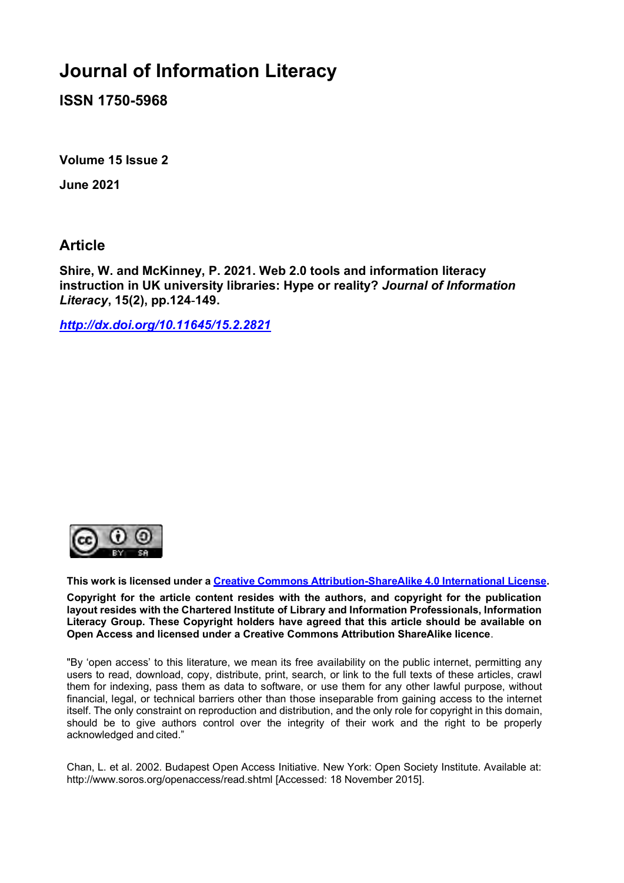# **Journal of Information Literacy**

**ISSN 1750-5968**

**Volume 15 Issue 2**

**June 2021**

**Article**

**Shire, W. and McKinney, P. 2021. Web 2.0 tools and information literacy instruction in UK university libraries: Hype or reality?** *Journal of Information Literacy***, 15(2), pp.124-149.**

*<http://dx.doi.org/10.11645/15.2.2821>*



**This work is licensed under a [Creative Commons Attribution-ShareAlike 4.0 International License.](http://creativecommons.org/licenses/by-sa/4.0/)**

**Copyright for the article content resides with the authors, and copyright for the publication layout resides with the Chartered Institute of Library and Information Professionals, Information Literacy Group. These Copyright holders have agreed that this article should be available on Open Access and licensed under a Creative Commons Attribution ShareAlike licence**.

"By 'open access' to this literature, we mean its free availability on the public internet, permitting any users to read, download, copy, distribute, print, search, or link to the full texts of these articles, crawl them for indexing, pass them as data to software, or use them for any other lawful purpose, without financial, legal, or technical barriers other than those inseparable from gaining access to the internet itself. The only constraint on reproduction and distribution, and the only role for copyright in this domain, should be to give authors control over the integrity of their work and the right to be properly acknowledged and cited."

Chan, L. et al. 2002. Budapest Open Access Initiative. New York: Open Society Institute. Available at: [http://www.soros.org/openaccess/read.shtml \[](http://www.soros.org/openaccess/read.shtml)Accessed: 18 November 2015].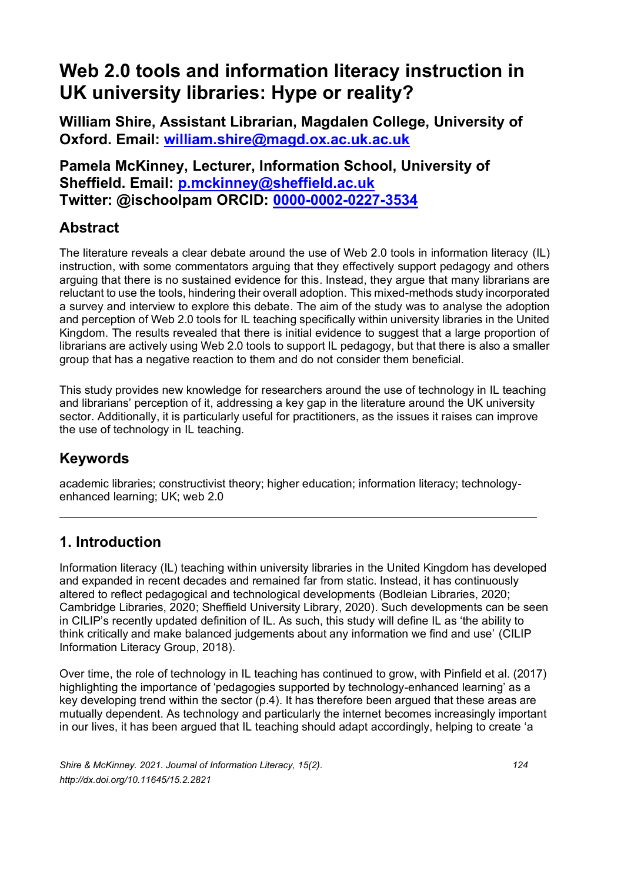# **Web 2.0 tools and information literacy instruction in UK university libraries: Hype or reality?**

**William Shire, Assistant Librarian, Magdalen College, University of Oxford. Email: [william.shire@magd.ox.ac.uk.ac.uk](mailto:william.shire@magd.ox.ac.uk.ac.uk)**

**Pamela McKinney, Lecturer, Information School, University of Sheffield. Email: [p.mckinney@sheffield.ac.uk](mailto:p.mckinney@sheffield.ac.uk) Twitter: @ischoolpam ORCID: [0000-0002-0227-3534](https://orcid.org/0000-0002-0227-3534)**

## **Abstract**

The literature reveals a clear debate around the use of Web 2.0 tools in information literacy (IL) instruction, with some commentators arguing that they effectively support pedagogy and others arguing that there is no sustained evidence for this. Instead, they argue that many librarians are reluctant to use the tools, hindering their overall adoption. This mixed-methods study incorporated a survey and interview to explore this debate. The aim of the study was to analyse the adoption and perception of Web 2.0 tools for IL teaching specifically within university libraries in the United Kingdom. The results revealed that there is initial evidence to suggest that a large proportion of librarians are actively using Web 2.0 tools to support IL pedagogy, but that there is also a smaller group that has a negative reaction to them and do not consider them beneficial.

This study provides new knowledge for researchers around the use of technology in IL teaching and librarians' perception of it, addressing a key gap in the literature around the UK university sector. Additionally, it is particularly useful for practitioners, as the issues it raises can improve the use of technology in IL teaching.

## **Keywords**

academic libraries; constructivist theory; higher education; information literacy; technologyenhanced learning; UK; web 2.0

## **1. Introduction**

Information literacy (IL) teaching within university libraries in the United Kingdom has developed and expanded in recent decades and remained far from static. Instead, it has continuously altered to reflect pedagogical and technological developments (Bodleian Libraries, 2020; Cambridge Libraries, 2020; Sheffield University Library, 2020). Such developments can be seen in CILIP's recently updated definition of IL. As such, this study will define IL as 'the ability to think critically and make balanced judgements about any information we find and use' (CILIP Information Literacy Group, 2018).

Over time, the role of technology in IL teaching has continued to grow, with Pinfield et al. (2017) highlighting the importance of 'pedagogies supported by technology-enhanced learning' as a key developing trend within the sector (p.4). It has therefore been argued that these areas are mutually dependent. As technology and particularly the internet becomes increasingly important in our lives, it has been argued that IL teaching should adapt accordingly, helping to create 'a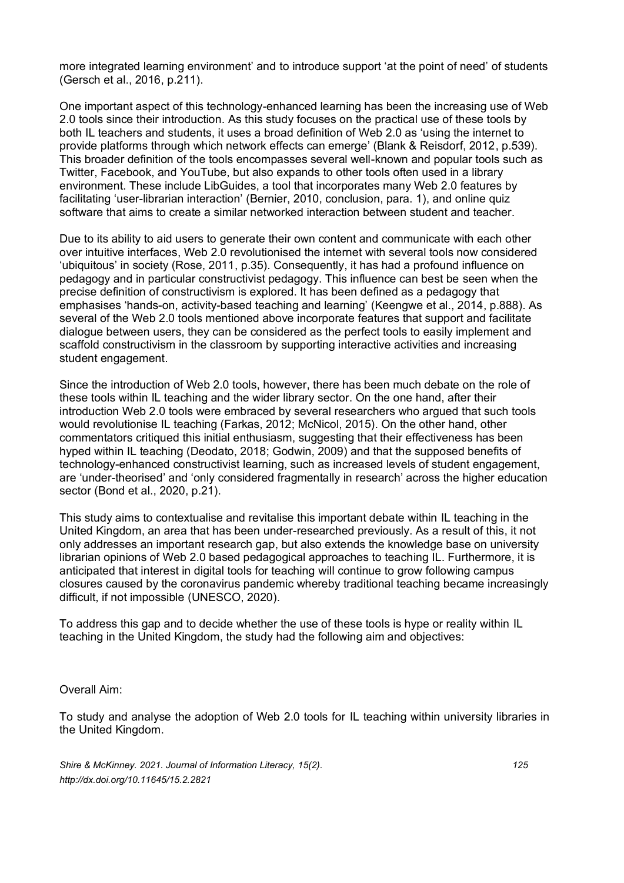more integrated learning environment' and to introduce support 'at the point of need' of students (Gersch et al., 2016, p.211).

One important aspect of this technology-enhanced learning has been the increasing use of Web 2.0 tools since their introduction. As this study focuses on the practical use of these tools by both IL teachers and students, it uses a broad definition of Web 2.0 as 'using the internet to provide platforms through which network effects can emerge' (Blank & Reisdorf, 2012, p.539). This broader definition of the tools encompasses several well-known and popular tools such as Twitter, Facebook, and YouTube, but also expands to other tools often used in a library environment. These include LibGuides, a tool that incorporates many Web 2.0 features by facilitating 'user-librarian interaction' (Bernier, 2010, conclusion, para. 1), and online quiz software that aims to create a similar networked interaction between student and teacher.

Due to its ability to aid users to generate their own content and communicate with each other over intuitive interfaces, Web 2.0 revolutionised the internet with several tools now considered 'ubiquitous' in society (Rose, 2011, p.35). Consequently, it has had a profound influence on pedagogy and in particular constructivist pedagogy. This influence can best be seen when the precise definition of constructivism is explored. It has been defined as a pedagogy that emphasises 'hands-on, activity-based teaching and learning' (Keengwe et al., 2014, p.888). As several of the Web 2.0 tools mentioned above incorporate features that support and facilitate dialogue between users, they can be considered as the perfect tools to easily implement and scaffold constructivism in the classroom by supporting interactive activities and increasing student engagement.

Since the introduction of Web 2.0 tools, however, there has been much debate on the role of these tools within IL teaching and the wider library sector. On the one hand, after their introduction Web 2.0 tools were embraced by several researchers who argued that such tools would revolutionise IL teaching (Farkas, 2012; McNicol, 2015). On the other hand, other commentators critiqued this initial enthusiasm, suggesting that their effectiveness has been hyped within IL teaching (Deodato, 2018; Godwin, 2009) and that the supposed benefits of technology-enhanced constructivist learning, such as increased levels of student engagement, are 'under-theorised' and 'only considered fragmentally in research' across the higher education sector (Bond et al., 2020, p.21).

This study aims to contextualise and revitalise this important debate within IL teaching in the United Kingdom, an area that has been under-researched previously. As a result of this, it not only addresses an important research gap, but also extends the knowledge base on university librarian opinions of Web 2.0 based pedagogical approaches to teaching IL. Furthermore, it is anticipated that interest in digital tools for teaching will continue to grow following campus closures caused by the coronavirus pandemic whereby traditional teaching became increasingly difficult, if not impossible (UNESCO, 2020).

To address this gap and to decide whether the use of these tools is hype or reality within IL teaching in the United Kingdom, the study had the following aim and objectives:

#### Overall Aim:

To study and analyse the adoption of Web 2.0 tools for IL teaching within university libraries in the United Kingdom.

*Shire & McKinney. 2021. Journal of Information Literacy, 15(2). 125 http://dx.doi.org/10.11645/15.2.2821*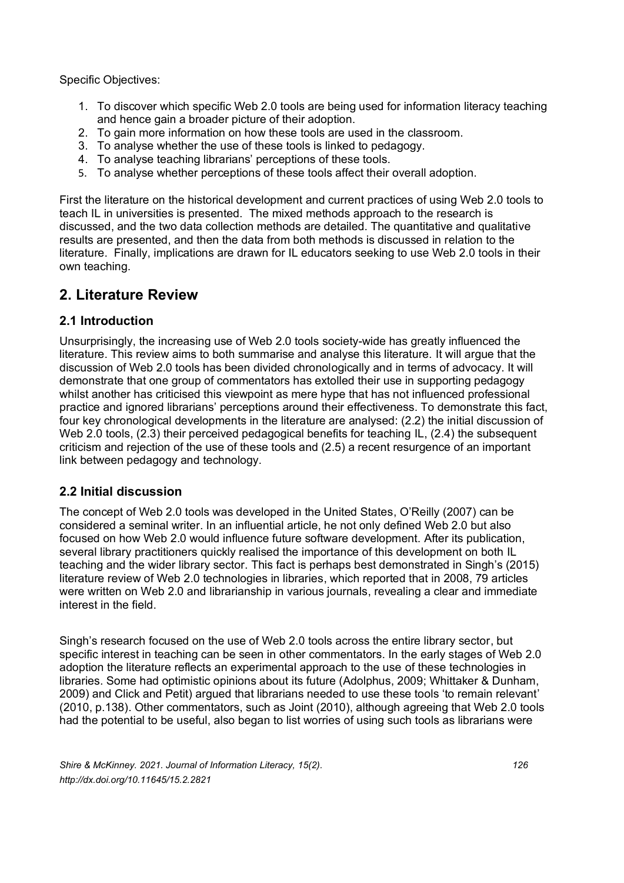Specific Objectives:

- 1. To discover which specific Web 2.0 tools are being used for information literacy teaching and hence gain a broader picture of their adoption.
- 2. To gain more information on how these tools are used in the classroom.
- 3. To analyse whether the use of these tools is linked to pedagogy.
- 4. To analyse teaching librarians' perceptions of these tools.
- 5. To analyse whether perceptions of these tools affect their overall adoption.

First the literature on the historical development and current practices of using Web 2.0 tools to teach IL in universities is presented. The mixed methods approach to the research is discussed, and the two data collection methods are detailed. The quantitative and qualitative results are presented, and then the data from both methods is discussed in relation to the literature. Finally, implications are drawn for IL educators seeking to use Web 2.0 tools in their own teaching.

## **2. Literature Review**

## **2.1 Introduction**

Unsurprisingly, the increasing use of Web 2.0 tools society-wide has greatly influenced the literature. This review aims to both summarise and analyse this literature. It will argue that the discussion of Web 2.0 tools has been divided chronologically and in terms of advocacy. It will demonstrate that one group of commentators has extolled their use in supporting pedagogy whilst another has criticised this viewpoint as mere hype that has not influenced professional practice and ignored librarians' perceptions around their effectiveness. To demonstrate this fact, four key chronological developments in the literature are analysed: (2.2) the initial discussion of Web 2.0 tools, (2.3) their perceived pedagogical benefits for teaching IL, (2.4) the subsequent criticism and rejection of the use of these tools and (2.5) a recent resurgence of an important link between pedagogy and technology.

## **2.2 Initial discussion**

The concept of Web 2.0 tools was developed in the United States, O'Reilly (2007) can be considered a seminal writer. In an influential article, he not only defined Web 2.0 but also focused on how Web 2.0 would influence future software development. After its publication, several library practitioners quickly realised the importance of this development on both IL teaching and the wider library sector. This fact is perhaps best demonstrated in Singh's (2015) literature review of Web 2.0 technologies in libraries, which reported that in 2008, 79 articles were written on Web 2.0 and librarianship in various journals, revealing a clear and immediate interest in the field.

Singh's research focused on the use of Web 2.0 tools across the entire library sector, but specific interest in teaching can be seen in other commentators. In the early stages of Web 2.0 adoption the literature reflects an experimental approach to the use of these technologies in libraries. Some had optimistic opinions about its future (Adolphus, 2009; Whittaker & Dunham, 2009) and Click and Petit) argued that librarians needed to use these tools 'to remain relevant' (2010, p.138). Other commentators, such as Joint (2010), although agreeing that Web 2.0 tools had the potential to be useful, also began to list worries of using such tools as librarians were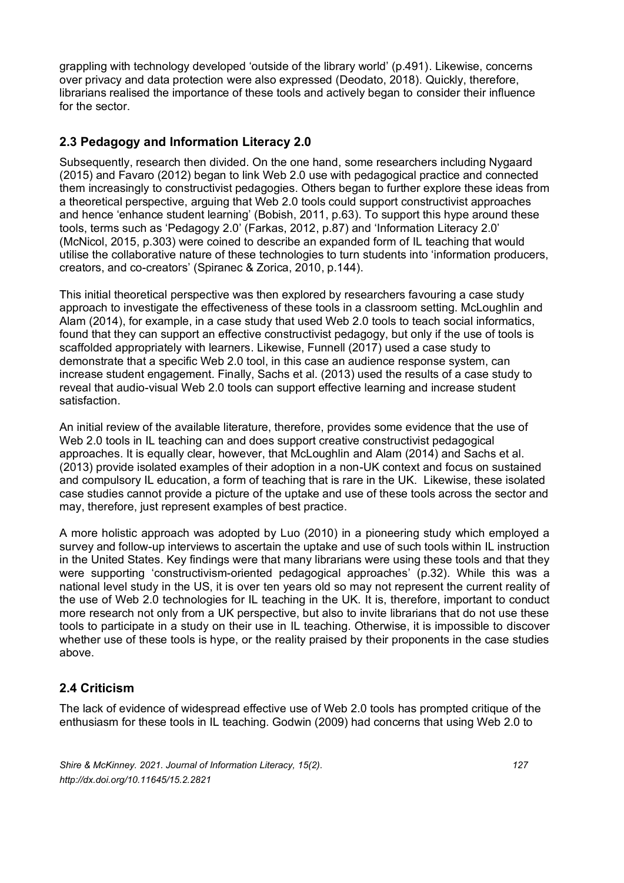grappling with technology developed 'outside of the library world' (p.491). Likewise, concerns over privacy and data protection were also expressed (Deodato, 2018). Quickly, therefore, librarians realised the importance of these tools and actively began to consider their influence for the sector.

## **2.3 Pedagogy and Information Literacy 2.0**

Subsequently, research then divided. On the one hand, some researchers including Nygaard (2015) and Favaro (2012) began to link Web 2.0 use with pedagogical practice and connected them increasingly to constructivist pedagogies. Others began to further explore these ideas from a theoretical perspective, arguing that Web 2.0 tools could support constructivist approaches and hence 'enhance student learning' (Bobish, 2011, p.63). To support this hype around these tools, terms such as 'Pedagogy 2.0' (Farkas, 2012, p.87) and 'Information Literacy 2.0' (McNicol, 2015, p.303) were coined to describe an expanded form of IL teaching that would utilise the collaborative nature of these technologies to turn students into 'information producers, creators, and co-creators' (Spiranec & Zorica, 2010, p.144).

This initial theoretical perspective was then explored by researchers favouring a case study approach to investigate the effectiveness of these tools in a classroom setting. McLoughlin and Alam (2014), for example, in a case study that used Web 2.0 tools to teach social informatics, found that they can support an effective constructivist pedagogy, but only if the use of tools is scaffolded appropriately with learners. Likewise, Funnell (2017) used a case study to demonstrate that a specific Web 2.0 tool, in this case an audience response system, can increase student engagement. Finally, Sachs et al. (2013) used the results of a case study to reveal that audio-visual Web 2.0 tools can support effective learning and increase student satisfaction.

An initial review of the available literature, therefore, provides some evidence that the use of Web 2.0 tools in IL teaching can and does support creative constructivist pedagogical approaches. It is equally clear, however, that McLoughlin and Alam (2014) and Sachs et al. (2013) provide isolated examples of their adoption in a non-UK context and focus on sustained and compulsory IL education, a form of teaching that is rare in the UK. Likewise, these isolated case studies cannot provide a picture of the uptake and use of these tools across the sector and may, therefore, just represent examples of best practice.

A more holistic approach was adopted by Luo (2010) in a pioneering study which employed a survey and follow-up interviews to ascertain the uptake and use of such tools within IL instruction in the United States. Key findings were that many librarians were using these tools and that they were supporting 'constructivism-oriented pedagogical approaches' (p.32). While this was a national level study in the US, it is over ten years old so may not represent the current reality of the use of Web 2.0 technologies for IL teaching in the UK. It is, therefore, important to conduct more research not only from a UK perspective, but also to invite librarians that do not use these tools to participate in a study on their use in IL teaching. Otherwise, it is impossible to discover whether use of these tools is hype, or the reality praised by their proponents in the case studies above.

## **2.4 Criticism**

The lack of evidence of widespread effective use of Web 2.0 tools has prompted critique of the enthusiasm for these tools in IL teaching. Godwin (2009) had concerns that using Web 2.0 to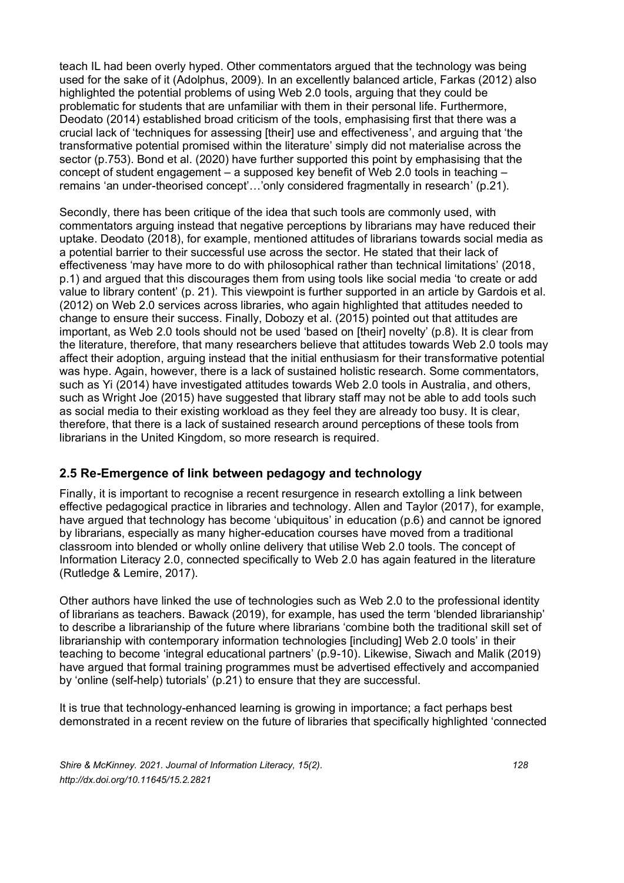teach IL had been overly hyped. Other commentators argued that the technology was being used for the sake of it (Adolphus, 2009). In an excellently balanced article, Farkas (2012) also highlighted the potential problems of using Web 2.0 tools, arguing that they could be problematic for students that are unfamiliar with them in their personal life. Furthermore, Deodato (2014) established broad criticism of the tools, emphasising first that there was a crucial lack of 'techniques for assessing [their] use and effectiveness', and arguing that 'the transformative potential promised within the literature' simply did not materialise across the sector (p.753). Bond et al. (2020) have further supported this point by emphasising that the concept of student engagement – a supposed key benefit of Web 2.0 tools in teaching – remains 'an under-theorised concept'…'only considered fragmentally in research' (p.21).

Secondly, there has been critique of the idea that such tools are commonly used, with commentators arguing instead that negative perceptions by librarians may have reduced their uptake. Deodato (2018), for example, mentioned attitudes of librarians towards social media as a potential barrier to their successful use across the sector. He stated that their lack of effectiveness 'may have more to do with philosophical rather than technical limitations' (2018, p.1) and argued that this discourages them from using tools like social media 'to create or add value to library content' (p. 21). This viewpoint is further supported in an article by Gardois et al. (2012) on Web 2.0 services across libraries, who again highlighted that attitudes needed to change to ensure their success. Finally, Dobozy et al. (2015) pointed out that attitudes are important, as Web 2.0 tools should not be used 'based on [their] novelty' (p.8). It is clear from the literature, therefore, that many researchers believe that attitudes towards Web 2.0 tools may affect their adoption, arguing instead that the initial enthusiasm for their transformative potential was hype. Again, however, there is a lack of sustained holistic research. Some commentators, such as Yi (2014) have investigated attitudes towards Web 2.0 tools in Australia, and others, such as Wright Joe (2015) have suggested that library staff may not be able to add tools such as social media to their existing workload as they feel they are already too busy. It is clear, therefore, that there is a lack of sustained research around perceptions of these tools from librarians in the United Kingdom, so more research is required.

## **2.5 Re-Emergence of link between pedagogy and technology**

Finally, it is important to recognise a recent resurgence in research extolling a link between effective pedagogical practice in libraries and technology. Allen and Taylor (2017), for example, have argued that technology has become 'ubiquitous' in education (p.6) and cannot be ignored by librarians, especially as many higher-education courses have moved from a traditional classroom into blended or wholly online delivery that utilise Web 2.0 tools. The concept of Information Literacy 2.0, connected specifically to Web 2.0 has again featured in the literature (Rutledge & Lemire, 2017).

Other authors have linked the use of technologies such as Web 2.0 to the professional identity of librarians as teachers. Bawack (2019), for example, has used the term 'blended librarianship' to describe a librarianship of the future where librarians 'combine both the traditional skill set of librarianship with contemporary information technologies [including] Web 2.0 tools' in their teaching to become 'integral educational partners' (p.9-10). Likewise, Siwach and Malik (2019) have argued that formal training programmes must be advertised effectively and accompanied by 'online (self-help) tutorials' (p.21) to ensure that they are successful.

It is true that technology-enhanced learning is growing in importance; a fact perhaps best demonstrated in a recent review on the future of libraries that specifically highlighted 'connected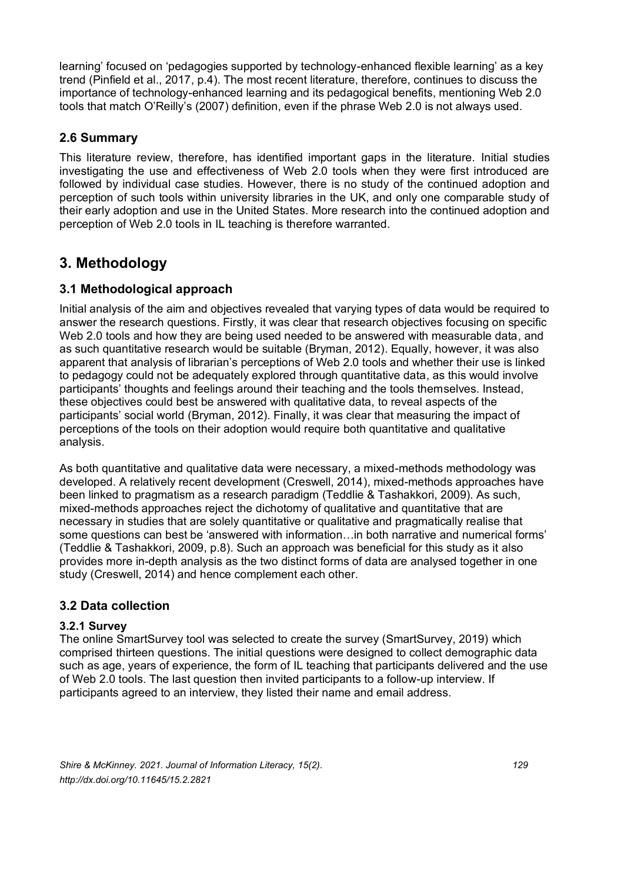learning' focused on 'pedagogies supported by technology-enhanced flexible learning' as a key trend (Pinfield et al., 2017, p.4). The most recent literature, therefore, continues to discuss the importance of technology-enhanced learning and its pedagogical benefits, mentioning Web 2.0 tools that match O'Reilly's (2007) definition, even if the phrase Web 2.0 is not always used.

## **2.6 Summary**

This literature review, therefore, has identified important gaps in the literature. Initial studies investigating the use and effectiveness of Web 2.0 tools when they were first introduced are followed by individual case studies. However, there is no study of the continued adoption and perception of such tools within university libraries in the UK, and only one comparable study of their early adoption and use in the United States. More research into the continued adoption and perception of Web 2.0 tools in IL teaching is therefore warranted.

## **3. Methodology**

## **3.1 Methodological approach**

Initial analysis of the aim and objectives revealed that varying types of data would be required to answer the research questions. Firstly, it was clear that research objectives focusing on specific Web 2.0 tools and how they are being used needed to be answered with measurable data, and as such quantitative research would be suitable (Bryman, 2012). Equally, however, it was also apparent that analysis of librarian's perceptions of Web 2.0 tools and whether their use is linked to pedagogy could not be adequately explored through quantitative data, as this would involve participants' thoughts and feelings around their teaching and the tools themselves. Instead, these objectives could best be answered with qualitative data, to reveal aspects of the participants' social world (Bryman, 2012). Finally, it was clear that measuring the impact of perceptions of the tools on their adoption would require both quantitative and qualitative analysis.

As both quantitative and qualitative data were necessary, a mixed-methods methodology was developed. A relatively recent development (Creswell, 2014), mixed-methods approaches have been linked to pragmatism as a research paradigm (Teddlie & Tashakkori, 2009). As such, mixed-methods approaches reject the dichotomy of qualitative and quantitative that are necessary in studies that are solely quantitative or qualitative and pragmatically realise that some questions can best be 'answered with information…in both narrative and numerical forms' (Teddlie & Tashakkori, 2009, p.8). Such an approach was beneficial for this study as it also provides more in-depth analysis as the two distinct forms of data are analysed together in one study (Creswell, 2014) and hence complement each other.

## **3.2 Data collection**

## **3.2.1 Survey**

The online SmartSurvey tool was selected to create the survey (SmartSurvey, 2019) which comprised thirteen questions. The initial questions were designed to collect demographic data such as age, years of experience, the form of IL teaching that participants delivered and the use of Web 2.0 tools. The last question then invited participants to a follow-up interview. If participants agreed to an interview, they listed their name and email address.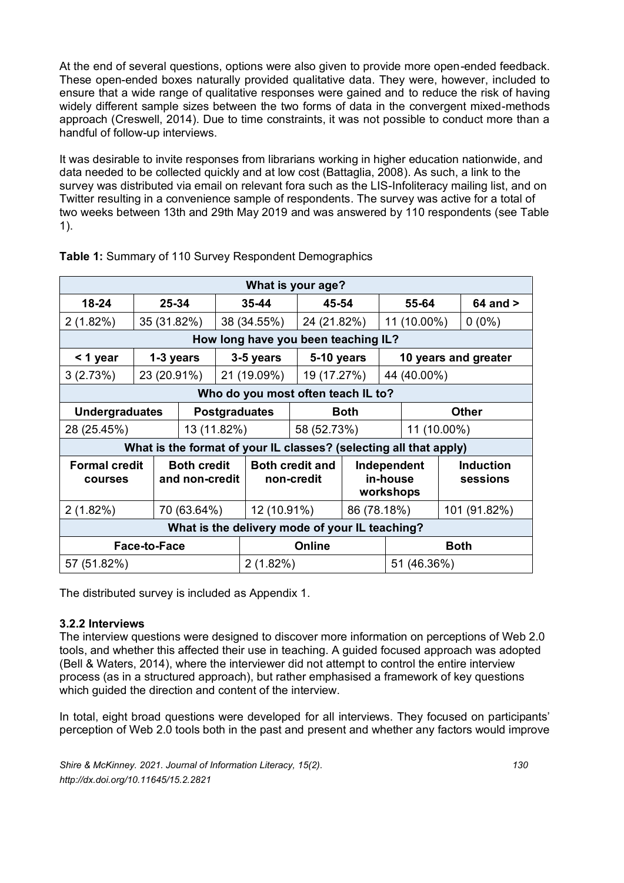At the end of several questions, options were also given to provide more open-ended feedback. These open-ended boxes naturally provided qualitative data. They were, however, included to ensure that a wide range of qualitative responses were gained and to reduce the risk of having widely different sample sizes between the two forms of data in the convergent mixed-methods approach (Creswell, 2014). Due to time constraints, it was not possible to conduct more than a handful of follow-up interviews.

It was desirable to invite responses from librarians working in higher education nationwide, and data needed to be collected quickly and at low cost (Battaglia, 2008). As such, a link to the survey was distributed via email on relevant fora such as the LIS-Infoliteracy mailing list, and on Twitter resulting in a convenience sample of respondents. The survey was active for a total of two weeks between 13th and 29th May 2019 and was answered by 110 respondents (see Table 1).

| What is your age?                                                 |                                    |                                      |             |                                      |             |                                      |                      |              |              |                              |
|-------------------------------------------------------------------|------------------------------------|--------------------------------------|-------------|--------------------------------------|-------------|--------------------------------------|----------------------|--------------|--------------|------------------------------|
| 18-24<br>25-34                                                    |                                    | 35-44                                |             |                                      | 45-54       |                                      | 55-64                |              | $64$ and $>$ |                              |
| 2(1.82%)                                                          | 35 (31.82%)                        |                                      | 38 (34.55%) |                                      |             | 24 (21.82%)                          |                      | 11 (10.00%)  |              | $0(0\%)$                     |
| How long have you been teaching IL?                               |                                    |                                      |             |                                      |             |                                      |                      |              |              |                              |
| < 1 year<br>1-3 years                                             |                                    |                                      | 3-5 years   |                                      | 5-10 years  |                                      | 10 years and greater |              |              |                              |
| 3(2.73%)                                                          | 23 (20.91%)                        |                                      |             | 21 (19.09%)                          | 19 (17.27%) |                                      |                      | 44 (40.00%)  |              |                              |
|                                                                   | Who do you most often teach IL to? |                                      |             |                                      |             |                                      |                      |              |              |                              |
| <b>Undergraduates</b><br><b>Postgraduates</b>                     |                                    |                                      |             |                                      |             | <b>Both</b>                          |                      | <b>Other</b> |              |                              |
| 28 (25.45%)<br>13 (11.82%)                                        |                                    |                                      |             |                                      | 58 (52.73%) |                                      |                      | 11 (10.00%)  |              |                              |
| What is the format of your IL classes? (selecting all that apply) |                                    |                                      |             |                                      |             |                                      |                      |              |              |                              |
| <b>Formal credit</b><br><b>COULSES</b>                            |                                    | <b>Both credit</b><br>and non-credit |             | <b>Both credit and</b><br>non-credit |             | Independent<br>in-house<br>workshops |                      |              |              | <b>Induction</b><br>sessions |
| 2(1.82%)                                                          |                                    | 70 (63.64%)                          |             | 12 (10.91%)                          |             |                                      | 86 (78.18%)          |              |              | 101 (91.82%)                 |
| What is the delivery mode of your IL teaching?                    |                                    |                                      |             |                                      |             |                                      |                      |              |              |                              |
| <b>Face-to-Face</b>                                               |                                    |                                      |             | Online                               |             |                                      | <b>Both</b>          |              |              |                              |
| 57 (51.82%)                                                       |                                    |                                      |             | $2(1.82\%)$                          |             |                                      | 51 (46.36%)          |              |              |                              |

**Table 1:** Summary of 110 Survey Respondent Demographics

The distributed survey is included as Appendix 1.

## **3.2.2 Interviews**

The interview questions were designed to discover more information on perceptions of Web 2.0 tools, and whether this affected their use in teaching. A guided focused approach was adopted (Bell & Waters, 2014), where the interviewer did not attempt to control the entire interview process (as in a structured approach), but rather emphasised a framework of key questions which guided the direction and content of the interview.

In total, eight broad questions were developed for all interviews. They focused on participants' perception of Web 2.0 tools both in the past and present and whether any factors would improve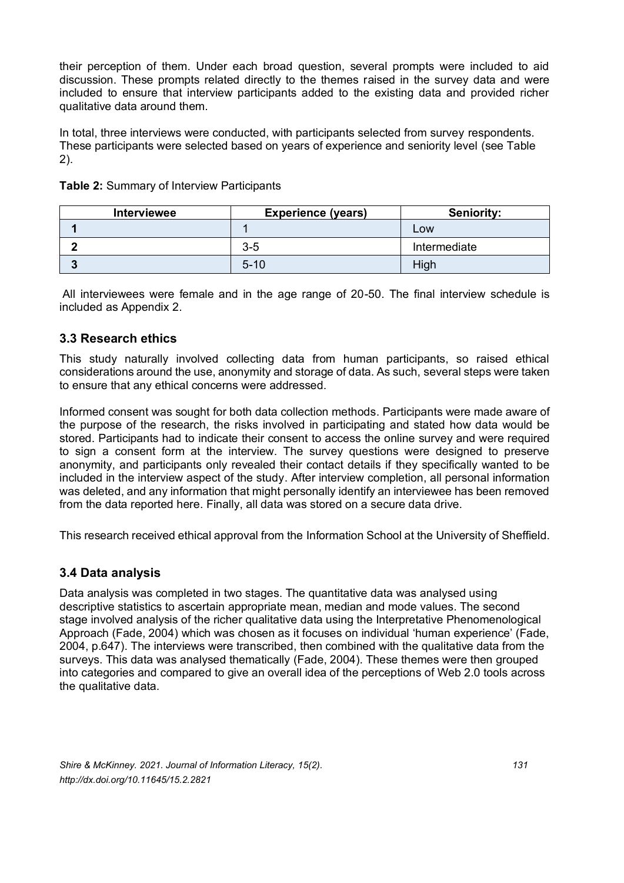their perception of them. Under each broad question, several prompts were included to aid discussion. These prompts related directly to the themes raised in the survey data and were included to ensure that interview participants added to the existing data and provided richer qualitative data around them.

In total, three interviews were conducted, with participants selected from survey respondents. These participants were selected based on years of experience and seniority level (see Table 2).

| Interviewee | <b>Experience (years)</b> | <b>Seniority:</b> |
|-------------|---------------------------|-------------------|
|             |                           | Low               |
|             | $3 - 5$                   | Intermediate      |
|             | $5 - 10$                  | High              |

**Table 2:** Summary of Interview Participants

All interviewees were female and in the age range of 20-50. The final interview schedule is included as Appendix 2.

## **3.3 Research ethics**

This study naturally involved collecting data from human participants, so raised ethical considerations around the use, anonymity and storage of data. As such, several steps were taken to ensure that any ethical concerns were addressed.

Informed consent was sought for both data collection methods. Participants were made aware of the purpose of the research, the risks involved in participating and stated how data would be stored. Participants had to indicate their consent to access the online survey and were required to sign a consent form at the interview. The survey questions were designed to preserve anonymity, and participants only revealed their contact details if they specifically wanted to be included in the interview aspect of the study. After interview completion, all personal information was deleted, and any information that might personally identify an interviewee has been removed from the data reported here. Finally, all data was stored on a secure data drive.

This research received ethical approval from the Information School at the University of Sheffield.

#### **3.4 Data analysis**

Data analysis was completed in two stages. The quantitative data was analysed using descriptive statistics to ascertain appropriate mean, median and mode values. The second stage involved analysis of the richer qualitative data using the Interpretative Phenomenological Approach (Fade, 2004) which was chosen as it focuses on individual 'human experience' (Fade, 2004, p.647). The interviews were transcribed, then combined with the qualitative data from the surveys. This data was analysed thematically (Fade, 2004). These themes were then grouped into categories and compared to give an overall idea of the perceptions of Web 2.0 tools across the qualitative data.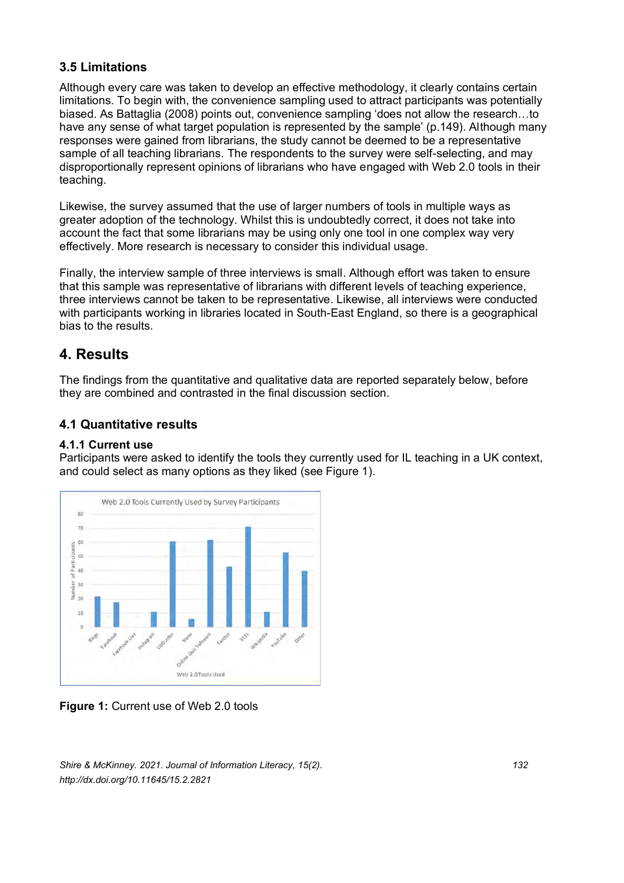## **3.5 Limitations**

Although every care was taken to develop an effective methodology, it clearly contains certain limitations. To begin with, the convenience sampling used to attract participants was potentially biased. As Battaglia (2008) points out, convenience sampling 'does not allow the research…to have any sense of what target population is represented by the sample' (p.149). Although many responses were gained from librarians, the study cannot be deemed to be a representative sample of all teaching librarians. The respondents to the survey were self-selecting, and may disproportionally represent opinions of librarians who have engaged with Web 2.0 tools in their teaching.

Likewise, the survey assumed that the use of larger numbers of tools in multiple ways as greater adoption of the technology. Whilst this is undoubtedly correct, it does not take into account the fact that some librarians may be using only one tool in one complex way very effectively. More research is necessary to consider this individual usage.

Finally, the interview sample of three interviews is small. Although effort was taken to ensure that this sample was representative of librarians with different levels of teaching experience, three interviews cannot be taken to be representative. Likewise, all interviews were conducted with participants working in libraries located in South-East England, so there is a geographical bias to the results.

## **4. Results**

The findings from the quantitative and qualitative data are reported separately below, before they are combined and contrasted in the final discussion section.

## **4.1 Quantitative results**

#### **4.1.1 Current use**

Participants were asked to identify the tools they currently used for IL teaching in a UK context, and could select as many options as they liked (see Figure 1).



**Figure 1: Current use of Web 2.0 tools** 

*Shire & McKinney. 2021. Journal of Information Literacy, 15(2). 132 http://dx.doi.org/10.11645/15.2.2821*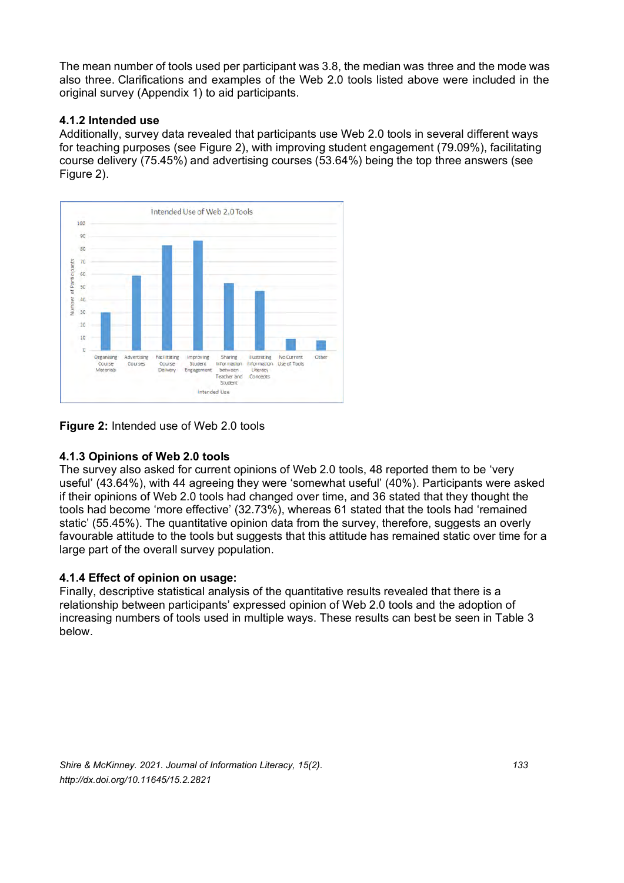The mean number of tools used per participant was 3.8, the median was three and the mode was also three. Clarifications and examples of the Web 2.0 tools listed above were included in the original survey (Appendix 1) to aid participants.

#### **4.1.2 Intended use**

Additionally, survey data revealed that participants use Web 2.0 tools in several different ways for teaching purposes (see Figure 2), with improving student engagement (79.09%), facilitating course delivery (75.45%) and advertising courses (53.64%) being the top three answers (see Figure 2).



**Figure 2:** Intended use of Web 2.0 tools

## **4.1.3 Opinions of Web 2.0 tools**

The survey also asked for current opinions of Web 2.0 tools, 48 reported them to be 'very useful' (43.64%), with 44 agreeing they were 'somewhat useful' (40%). Participants were asked if their opinions of Web 2.0 tools had changed over time, and 36 stated that they thought the tools had become 'more effective' (32.73%), whereas 61 stated that the tools had 'remained static' (55.45%). The quantitative opinion data from the survey, therefore, suggests an overly favourable attitude to the tools but suggests that this attitude has remained static over time for a large part of the overall survey population.

## **4.1.4 Effect of opinion on usage:**

Finally, descriptive statistical analysis of the quantitative results revealed that there is a relationship between participants' expressed opinion of Web 2.0 tools and the adoption of increasing numbers of tools used in multiple ways. These results can best be seen in Table 3 below.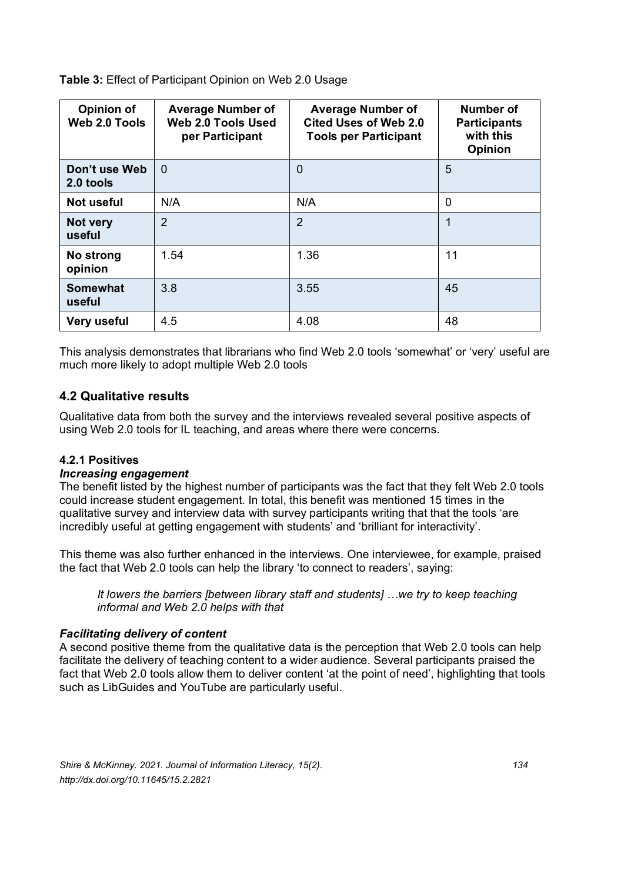**Table 3:** Effect of Participant Opinion on Web 2.0 Usage

| <b>Opinion of</b><br>Web 2.0 Tools | <b>Average Number of</b><br>Web 2.0 Tools Used<br>per Participant | <b>Average Number of</b><br><b>Cited Uses of Web 2.0</b><br><b>Tools per Participant</b> | Number of<br><b>Participants</b><br>with this<br><b>Opinion</b> |  |
|------------------------------------|-------------------------------------------------------------------|------------------------------------------------------------------------------------------|-----------------------------------------------------------------|--|
| Don't use Web<br>2.0 tools         | $\Omega$                                                          | $\mathbf 0$                                                                              | 5                                                               |  |
| Not useful                         | N/A                                                               | N/A                                                                                      | 0                                                               |  |
| Not very<br>useful                 | $\overline{2}$                                                    | $\overline{2}$                                                                           | 1                                                               |  |
| No strong<br>opinion               | 1.54                                                              | 1.36                                                                                     | 11                                                              |  |
| <b>Somewhat</b><br>useful          | 3.8                                                               | 3.55                                                                                     | 45                                                              |  |
| Very useful                        | 4.5                                                               | 4.08                                                                                     | 48                                                              |  |

This analysis demonstrates that librarians who find Web 2.0 tools 'somewhat' or 'very' useful are much more likely to adopt multiple Web 2.0 tools

## **4.2 Qualitative results**

Qualitative data from both the survey and the interviews revealed several positive aspects of using Web 2.0 tools for IL teaching, and areas where there were concerns.

## **4.2.1 Positives**

#### *Increasing engagement*

The benefit listed by the highest number of participants was the fact that they felt Web 2.0 tools could increase student engagement. In total, this benefit was mentioned 15 times in the qualitative survey and interview data with survey participants writing that that the tools 'are incredibly useful at getting engagement with students' and 'brilliant for interactivity'.

This theme was also further enhanced in the interviews. One interviewee, for example, praised the fact that Web 2.0 tools can help the library 'to connect to readers', saying:

*It lowers the barriers [between library staff and students] …we try to keep teaching informal and Web 2.0 helps with that*

## *Facilitating delivery of content*

A second positive theme from the qualitative data is the perception that Web 2.0 tools can help facilitate the delivery of teaching content to a wider audience. Several participants praised the fact that Web 2.0 tools allow them to deliver content 'at the point of need', highlighting that tools such as LibGuides and YouTube are particularly useful.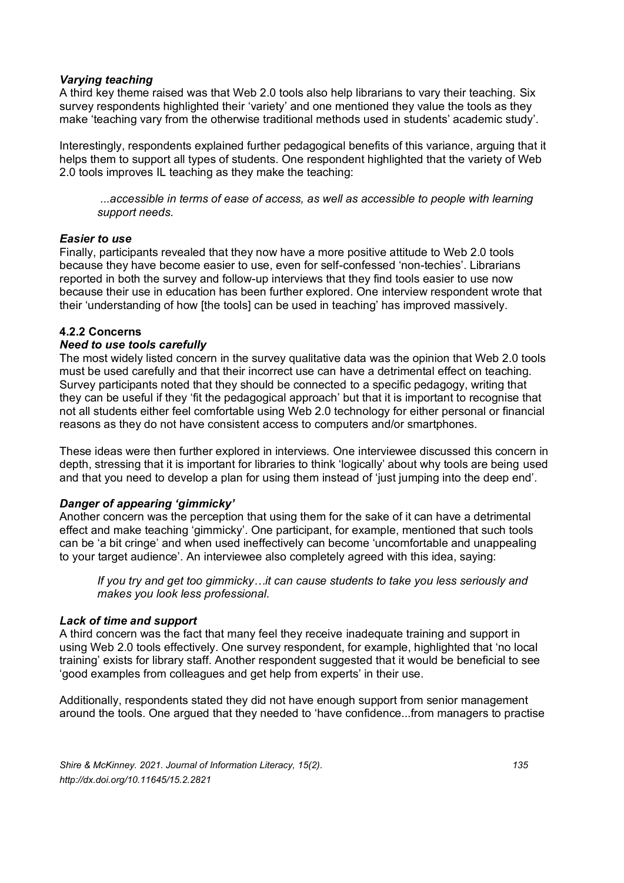#### *Varying teaching*

A third key theme raised was that Web 2.0 tools also help librarians to vary their teaching. Six survey respondents highlighted their 'variety' and one mentioned they value the tools as they make 'teaching vary from the otherwise traditional methods used in students' academic study'.

Interestingly, respondents explained further pedagogical benefits of this variance, arguing that it helps them to support all types of students. One respondent highlighted that the variety of Web 2.0 tools improves IL teaching as they make the teaching:

*...accessible in terms of ease of access, as well as accessible to people with learning support needs.* 

#### *Easier to use*

Finally, participants revealed that they now have a more positive attitude to Web 2.0 tools because they have become easier to use, even for self-confessed 'non-techies'. Librarians reported in both the survey and follow-up interviews that they find tools easier to use now because their use in education has been further explored. One interview respondent wrote that their 'understanding of how [the tools] can be used in teaching' has improved massively.

#### **4.2.2 Concerns**

#### *Need to use tools carefully*

The most widely listed concern in the survey qualitative data was the opinion that Web 2.0 tools must be used carefully and that their incorrect use can have a detrimental effect on teaching. Survey participants noted that they should be connected to a specific pedagogy, writing that they can be useful if they 'fit the pedagogical approach' but that it is important to recognise that not all students either feel comfortable using Web 2.0 technology for either personal or financial reasons as they do not have consistent access to computers and/or smartphones.

These ideas were then further explored in interviews. One interviewee discussed this concern in depth, stressing that it is important for libraries to think 'logically' about why tools are being used and that you need to develop a plan for using them instead of 'just jumping into the deep end'.

#### *Danger of appearing 'gimmicky'*

Another concern was the perception that using them for the sake of it can have a detrimental effect and make teaching 'gimmicky'. One participant, for example, mentioned that such tools can be 'a bit cringe' and when used ineffectively can become 'uncomfortable and unappealing to your target audience'. An interviewee also completely agreed with this idea, saying:

*If you try and get too gimmicky…it can cause students to take you less seriously and makes you look less professional.*

#### *Lack of time and support*

A third concern was the fact that many feel they receive inadequate training and support in using Web 2.0 tools effectively. One survey respondent, for example, highlighted that 'no local training' exists for library staff. Another respondent suggested that it would be beneficial to see 'good examples from colleagues and get help from experts' in their use.

Additionally, respondents stated they did not have enough support from senior management around the tools. One argued that they needed to 'have confidence...from managers to practise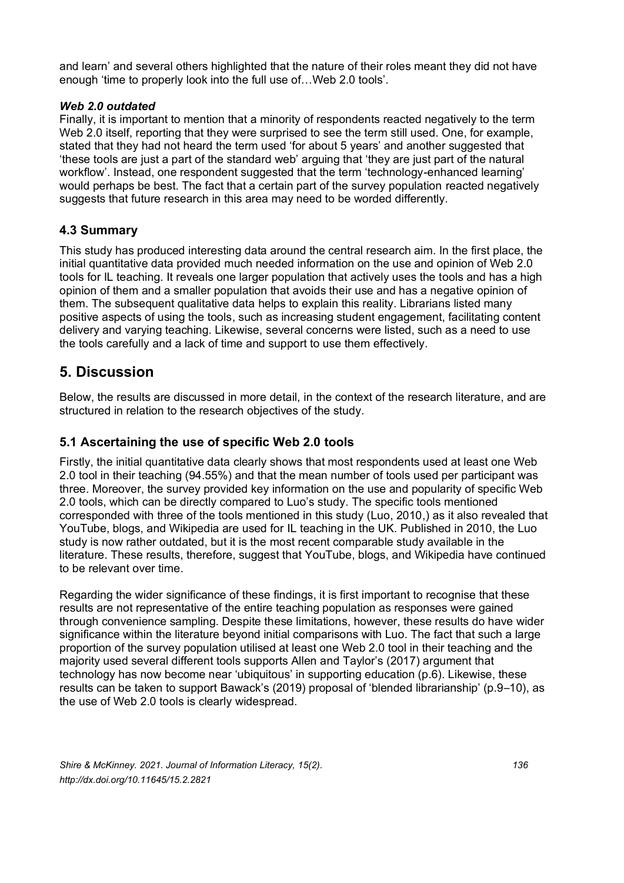and learn' and several others highlighted that the nature of their roles meant they did not have enough 'time to properly look into the full use of…Web 2.0 tools'.

#### *Web 2.0 outdated*

Finally, it is important to mention that a minority of respondents reacted negatively to the term Web 2.0 itself, reporting that they were surprised to see the term still used. One, for example, stated that they had not heard the term used 'for about 5 years' and another suggested that 'these tools are just a part of the standard web' arguing that 'they are just part of the natural workflow'. Instead, one respondent suggested that the term 'technology-enhanced learning' would perhaps be best. The fact that a certain part of the survey population reacted negatively suggests that future research in this area may need to be worded differently.

## **4.3 Summary**

This study has produced interesting data around the central research aim. In the first place, the initial quantitative data provided much needed information on the use and opinion of Web 2.0 tools for IL teaching. It reveals one larger population that actively uses the tools and has a high opinion of them and a smaller population that avoids their use and has a negative opinion of them. The subsequent qualitative data helps to explain this reality. Librarians listed many positive aspects of using the tools, such as increasing student engagement, facilitating content delivery and varying teaching. Likewise, several concerns were listed, such as a need to use the tools carefully and a lack of time and support to use them effectively.

## **5. Discussion**

Below, the results are discussed in more detail, in the context of the research literature, and are structured in relation to the research objectives of the study.

## **5.1 Ascertaining the use of specific Web 2.0 tools**

Firstly, the initial quantitative data clearly shows that most respondents used at least one Web 2.0 tool in their teaching (94.55%) and that the mean number of tools used per participant was three. Moreover, the survey provided key information on the use and popularity of specific Web 2.0 tools, which can be directly compared to Luo's study. The specific tools mentioned corresponded with three of the tools mentioned in this study (Luo, 2010,) as it also revealed that YouTube, blogs, and Wikipedia are used for IL teaching in the UK. Published in 2010, the Luo study is now rather outdated, but it is the most recent comparable study available in the literature. These results, therefore, suggest that YouTube, blogs, and Wikipedia have continued to be relevant over time.

Regarding the wider significance of these findings, it is first important to recognise that these results are not representative of the entire teaching population as responses were gained through convenience sampling. Despite these limitations, however, these results do have wider significance within the literature beyond initial comparisons with Luo. The fact that such a large proportion of the survey population utilised at least one Web 2.0 tool in their teaching and the majority used several different tools supports Allen and Taylor's (2017) argument that technology has now become near 'ubiquitous' in supporting education (p.6). Likewise, these results can be taken to support Bawack's (2019) proposal of 'blended librarianship' (p.9–10), as the use of Web 2.0 tools is clearly widespread.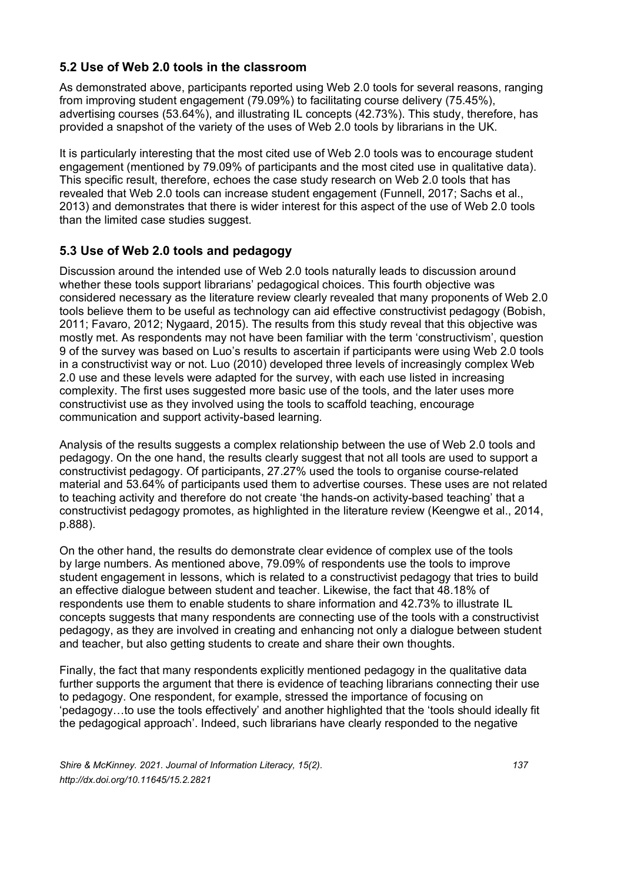## **5.2 Use of Web 2.0 tools in the classroom**

As demonstrated above, participants reported using Web 2.0 tools for several reasons, ranging from improving student engagement (79.09%) to facilitating course delivery (75.45%), advertising courses (53.64%), and illustrating IL concepts (42.73%). This study, therefore, has provided a snapshot of the variety of the uses of Web 2.0 tools by librarians in the UK.

It is particularly interesting that the most cited use of Web 2.0 tools was to encourage student engagement (mentioned by 79.09% of participants and the most cited use in qualitative data). This specific result, therefore, echoes the case study research on Web 2.0 tools that has revealed that Web 2.0 tools can increase student engagement (Funnell, 2017; Sachs et al., 2013) and demonstrates that there is wider interest for this aspect of the use of Web 2.0 tools than the limited case studies suggest.

## **5.3 Use of Web 2.0 tools and pedagogy**

Discussion around the intended use of Web 2.0 tools naturally leads to discussion around whether these tools support librarians' pedagogical choices. This fourth objective was considered necessary as the literature review clearly revealed that many proponents of Web 2.0 tools believe them to be useful as technology can aid effective constructivist pedagogy (Bobish, 2011; Favaro, 2012; Nygaard, 2015). The results from this study reveal that this objective was mostly met. As respondents may not have been familiar with the term 'constructivism', question 9 of the survey was based on Luo's results to ascertain if participants were using Web 2.0 tools in a constructivist way or not. Luo (2010) developed three levels of increasingly complex Web 2.0 use and these levels were adapted for the survey, with each use listed in increasing complexity. The first uses suggested more basic use of the tools, and the later uses more constructivist use as they involved using the tools to scaffold teaching, encourage communication and support activity-based learning.

Analysis of the results suggests a complex relationship between the use of Web 2.0 tools and pedagogy. On the one hand, the results clearly suggest that not all tools are used to support a constructivist pedagogy. Of participants, 27.27% used the tools to organise course-related material and 53.64% of participants used them to advertise courses. These uses are not related to teaching activity and therefore do not create 'the hands-on activity-based teaching' that a constructivist pedagogy promotes, as highlighted in the literature review (Keengwe et al., 2014, p.888).

On the other hand, the results do demonstrate clear evidence of complex use of the tools by large numbers. As mentioned above, 79.09% of respondents use the tools to improve student engagement in lessons, which is related to a constructivist pedagogy that tries to build an effective dialogue between student and teacher. Likewise, the fact that 48.18% of respondents use them to enable students to share information and 42.73% to illustrate IL concepts suggests that many respondents are connecting use of the tools with a constructivist pedagogy, as they are involved in creating and enhancing not only a dialogue between student and teacher, but also getting students to create and share their own thoughts.

Finally, the fact that many respondents explicitly mentioned pedagogy in the qualitative data further supports the argument that there is evidence of teaching librarians connecting their use to pedagogy. One respondent, for example, stressed the importance of focusing on 'pedagogy…to use the tools effectively' and another highlighted that the 'tools should ideally fit the pedagogical approach'. Indeed, such librarians have clearly responded to the negative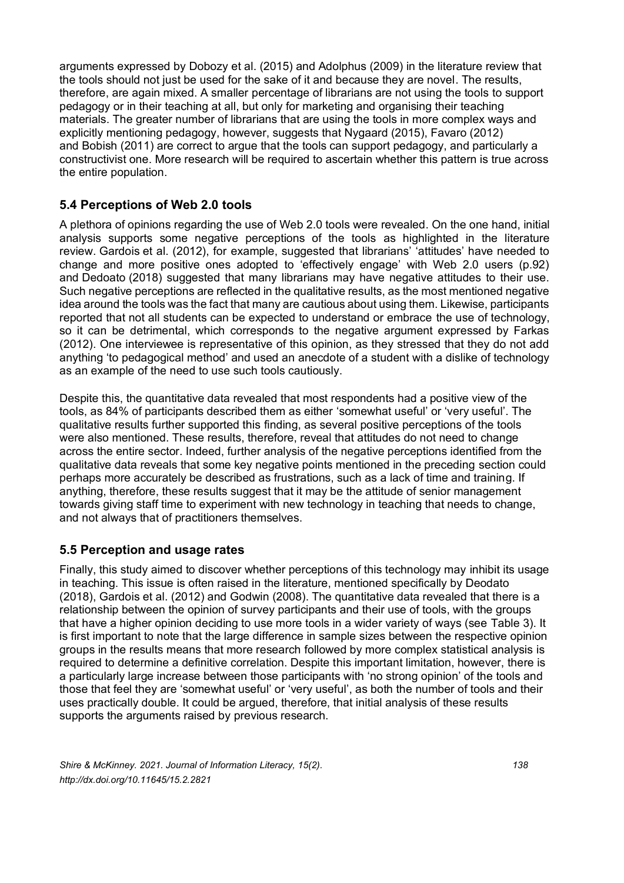arguments expressed by Dobozy et al. (2015) and Adolphus (2009) in the literature review that the tools should not just be used for the sake of it and because they are novel. The results, therefore, are again mixed. A smaller percentage of librarians are not using the tools to support pedagogy or in their teaching at all, but only for marketing and organising their teaching materials. The greater number of librarians that are using the tools in more complex ways and explicitly mentioning pedagogy, however, suggests that Nygaard (2015), Favaro (2012) and Bobish (2011) are correct to argue that the tools can support pedagogy, and particularly a constructivist one. More research will be required to ascertain whether this pattern is true across the entire population.

## **5.4 Perceptions of Web 2.0 tools**

A plethora of opinions regarding the use of Web 2.0 tools were revealed. On the one hand, initial analysis supports some negative perceptions of the tools as highlighted in the literature review. Gardois et al. (2012), for example, suggested that librarians' 'attitudes' have needed to change and more positive ones adopted to 'effectively engage' with Web 2.0 users (p.92) and Dedoato (2018) suggested that many librarians may have negative attitudes to their use. Such negative perceptions are reflected in the qualitative results, as the most mentioned negative idea around the tools was the fact that many are cautious about using them. Likewise, participants reported that not all students can be expected to understand or embrace the use of technology, so it can be detrimental, which corresponds to the negative argument expressed by Farkas (2012). One interviewee is representative of this opinion, as they stressed that they do not add anything 'to pedagogical method' and used an anecdote of a student with a dislike of technology as an example of the need to use such tools cautiously.

Despite this, the quantitative data revealed that most respondents had a positive view of the tools, as 84% of participants described them as either 'somewhat useful' or 'very useful'. The qualitative results further supported this finding, as several positive perceptions of the tools were also mentioned. These results, therefore, reveal that attitudes do not need to change across the entire sector. Indeed, further analysis of the negative perceptions identified from the qualitative data reveals that some key negative points mentioned in the preceding section could perhaps more accurately be described as frustrations, such as a lack of time and training. If anything, therefore, these results suggest that it may be the attitude of senior management towards giving staff time to experiment with new technology in teaching that needs to change, and not always that of practitioners themselves.

## **5.5 Perception and usage rates**

Finally, this study aimed to discover whether perceptions of this technology may inhibit its usage in teaching. This issue is often raised in the literature, mentioned specifically by Deodato (2018), Gardois et al. (2012) and Godwin (2008). The quantitative data revealed that there is a relationship between the opinion of survey participants and their use of tools, with the groups that have a higher opinion deciding to use more tools in a wider variety of ways (see Table 3). It is first important to note that the large difference in sample sizes between the respective opinion groups in the results means that more research followed by more complex statistical analysis is required to determine a definitive correlation. Despite this important limitation, however, there is a particularly large increase between those participants with 'no strong opinion' of the tools and those that feel they are 'somewhat useful' or 'very useful', as both the number of tools and their uses practically double. It could be argued, therefore, that initial analysis of these results supports the arguments raised by previous research.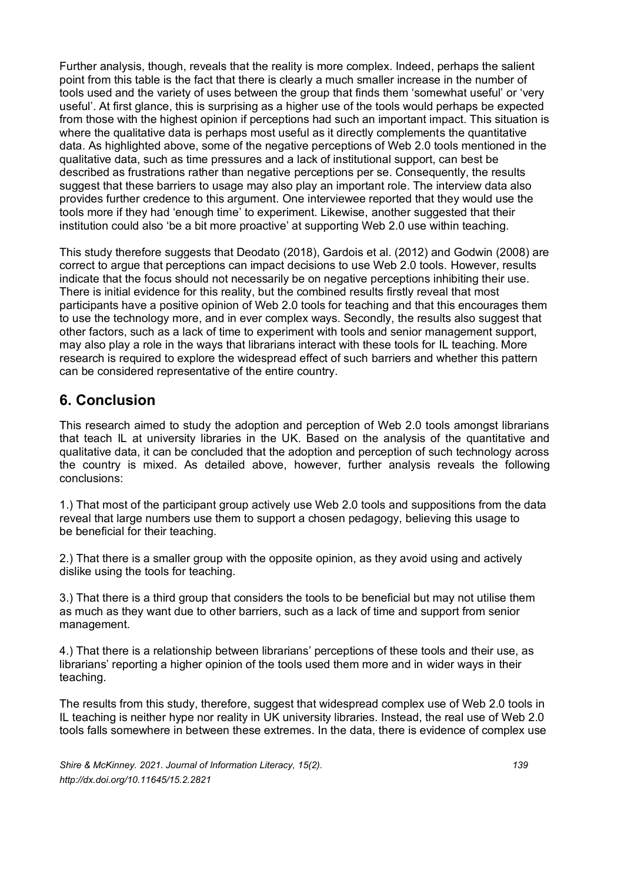Further analysis, though, reveals that the reality is more complex. Indeed, perhaps the salient point from this table is the fact that there is clearly a much smaller increase in the number of tools used and the variety of uses between the group that finds them 'somewhat useful' or 'very useful'. At first glance, this is surprising as a higher use of the tools would perhaps be expected from those with the highest opinion if perceptions had such an important impact. This situation is where the qualitative data is perhaps most useful as it directly complements the quantitative data. As highlighted above, some of the negative perceptions of Web 2.0 tools mentioned in the qualitative data, such as time pressures and a lack of institutional support, can best be described as frustrations rather than negative perceptions per se. Consequently, the results suggest that these barriers to usage may also play an important role. The interview data also provides further credence to this argument. One interviewee reported that they would use the tools more if they had 'enough time' to experiment. Likewise, another suggested that their institution could also 'be a bit more proactive' at supporting Web 2.0 use within teaching.

This study therefore suggests that Deodato (2018), Gardois et al. (2012) and Godwin (2008) are correct to argue that perceptions can impact decisions to use Web 2.0 tools. However, results indicate that the focus should not necessarily be on negative perceptions inhibiting their use. There is initial evidence for this reality, but the combined results firstly reveal that most participants have a positive opinion of Web 2.0 tools for teaching and that this encourages them to use the technology more, and in ever complex ways. Secondly, the results also suggest that other factors, such as a lack of time to experiment with tools and senior management support, may also play a role in the ways that librarians interact with these tools for IL teaching. More research is required to explore the widespread effect of such barriers and whether this pattern can be considered representative of the entire country.

## **6. Conclusion**

This research aimed to study the adoption and perception of Web 2.0 tools amongst librarians that teach IL at university libraries in the UK. Based on the analysis of the quantitative and qualitative data, it can be concluded that the adoption and perception of such technology across the country is mixed. As detailed above, however, further analysis reveals the following conclusions:

1.) That most of the participant group actively use Web 2.0 tools and suppositions from the data reveal that large numbers use them to support a chosen pedagogy, believing this usage to be beneficial for their teaching.

2.) That there is a smaller group with the opposite opinion, as they avoid using and actively dislike using the tools for teaching.

3.) That there is a third group that considers the tools to be beneficial but may not utilise them as much as they want due to other barriers, such as a lack of time and support from senior management.

4.) That there is a relationship between librarians' perceptions of these tools and their use, as librarians' reporting a higher opinion of the tools used them more and in wider ways in their teaching.

The results from this study, therefore, suggest that widespread complex use of Web 2.0 tools in IL teaching is neither hype nor reality in UK university libraries. Instead, the real use of Web 2.0 tools falls somewhere in between these extremes. In the data, there is evidence of complex use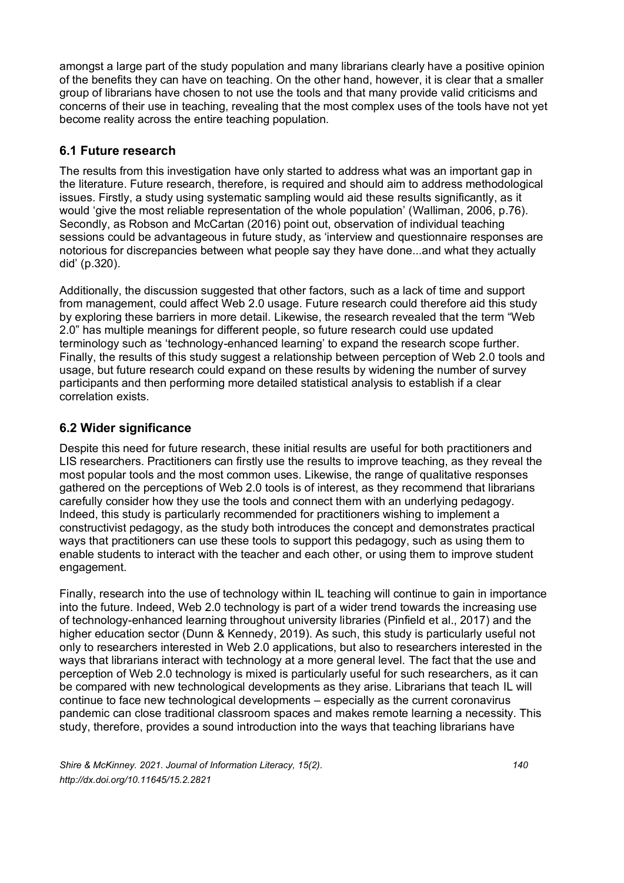amongst a large part of the study population and many librarians clearly have a positive opinion of the benefits they can have on teaching. On the other hand, however, it is clear that a smaller group of librarians have chosen to not use the tools and that many provide valid criticisms and concerns of their use in teaching, revealing that the most complex uses of the tools have not yet become reality across the entire teaching population.

## **6.1 Future research**

The results from this investigation have only started to address what was an important gap in the literature. Future research, therefore, is required and should aim to address methodological issues. Firstly, a study using systematic sampling would aid these results significantly, as it would 'give the most reliable representation of the whole population' (Walliman, 2006, p.76). Secondly, as Robson and McCartan (2016) point out, observation of individual teaching sessions could be advantageous in future study, as 'interview and questionnaire responses are notorious for discrepancies between what people say they have done...and what they actually did' (p.320).

Additionally, the discussion suggested that other factors, such as a lack of time and support from management, could affect Web 2.0 usage. Future research could therefore aid this study by exploring these barriers in more detail. Likewise, the research revealed that the term "Web 2.0" has multiple meanings for different people, so future research could use updated terminology such as 'technology-enhanced learning' to expand the research scope further. Finally, the results of this study suggest a relationship between perception of Web 2.0 tools and usage, but future research could expand on these results by widening the number of survey participants and then performing more detailed statistical analysis to establish if a clear correlation exists.

## **6.2 Wider significance**

Despite this need for future research, these initial results are useful for both practitioners and LIS researchers. Practitioners can firstly use the results to improve teaching, as they reveal the most popular tools and the most common uses. Likewise, the range of qualitative responses gathered on the perceptions of Web 2.0 tools is of interest, as they recommend that librarians carefully consider how they use the tools and connect them with an underlying pedagogy. Indeed, this study is particularly recommended for practitioners wishing to implement a constructivist pedagogy, as the study both introduces the concept and demonstrates practical ways that practitioners can use these tools to support this pedagogy, such as using them to enable students to interact with the teacher and each other, or using them to improve student engagement.

Finally, research into the use of technology within IL teaching will continue to gain in importance into the future. Indeed, Web 2.0 technology is part of a wider trend towards the increasing use of technology-enhanced learning throughout university libraries (Pinfield et al., 2017) and the higher education sector (Dunn & Kennedy, 2019). As such, this study is particularly useful not only to researchers interested in Web 2.0 applications, but also to researchers interested in the ways that librarians interact with technology at a more general level. The fact that the use and perception of Web 2.0 technology is mixed is particularly useful for such researchers, as it can be compared with new technological developments as they arise. Librarians that teach IL will continue to face new technological developments – especially as the current coronavirus pandemic can close traditional classroom spaces and makes remote learning a necessity. This study, therefore, provides a sound introduction into the ways that teaching librarians have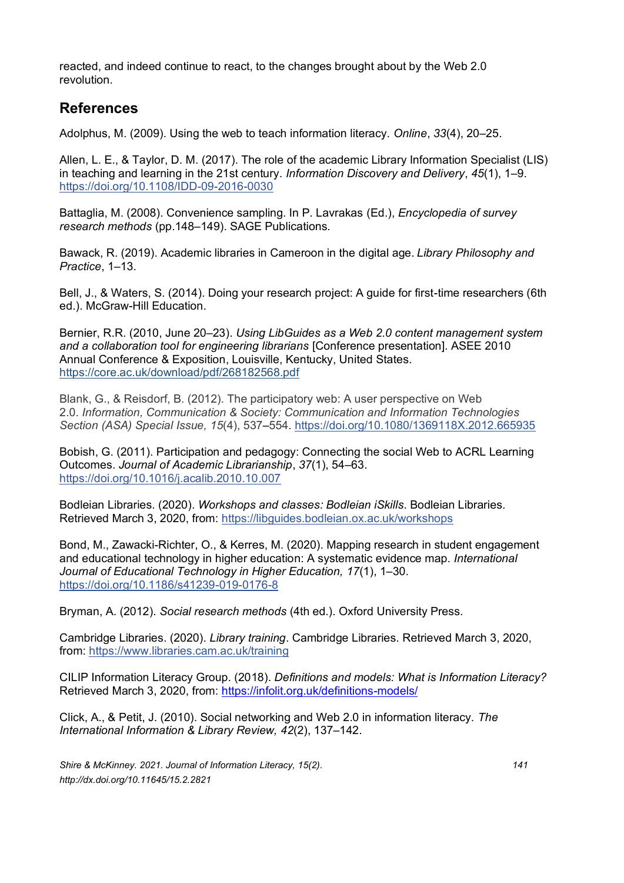reacted, and indeed continue to react, to the changes brought about by the Web 2.0 revolution.

## **References**

Adolphus, M. (2009). Using the web to teach information literacy. *Online*, *33*(4), 20–25.

Allen, L. E., & Taylor, D. M. (2017). The role of the academic Library Information Specialist (LIS) in teaching and learning in the 21st century. *Information Discovery and Delivery*, *45*(1), 1–9. <https://doi.org/10.1108/IDD-09-2016-0030>

Battaglia, M. (2008). Convenience sampling. In P. Lavrakas (Ed.), *Encyclopedia of survey research methods* (pp.148–149). SAGE Publications.

Bawack, R. (2019). Academic libraries in Cameroon in the digital age. *Library Philosophy and Practice*, 1–13.

Bell, J., & Waters, S. (2014). Doing your research project: A guide for first-time researchers (6th ed.). McGraw-Hill Education.

Bernier, R.R. (2010, June 20–23). *Using LibGuides as a Web 2.0 content management system and a collaboration tool for engineering librarians* [Conference presentation]. ASEE 2010 Annual Conference & Exposition, Louisville, Kentucky, United States. <https://core.ac.uk/download/pdf/268182568.pdf>

Blank, G., & Reisdorf, B. (2012). The participatory web: A user perspective on Web 2.0. *Information, Communication & Society: Communication and Information Technologies Section (ASA) Special Issue, 15*(4), 537–554. <https://doi.org/10.1080/1369118X.2012.665935>

Bobish, G. (2011). Participation and pedagogy: Connecting the social Web to ACRL Learning Outcomes. *Journal of Academic Librarianship*, *37*(1), 54–63. <https://doi.org/10.1016/j.acalib.2010.10.007>

Bodleian Libraries. (2020). *Workshops and classes: Bodleian iSkills*. Bodleian Libraries. Retrieved March 3, 2020, from:<https://libguides.bodleian.ox.ac.uk/workshops>

Bond, M., Zawacki-Richter, O., & Kerres, M. (2020). Mapping research in student engagement and educational technology in higher education: A systematic evidence map. *International Journal of Educational Technology in Higher Education, 17*(1), 1–30. <https://doi.org/10.1186/s41239-019-0176-8>

Bryman, A. (2012). *Social research methods* (4th ed.). Oxford University Press.

Cambridge Libraries. (2020). *Library training*. Cambridge Libraries. Retrieved March 3, 2020, from:<https://www.libraries.cam.ac.uk/training>

CILIP Information Literacy Group. (2018). *Definitions and models: What is Information Literacy?* Retrieved March 3, 2020, from:<https://infolit.org.uk/definitions-models/>

Click, A., & Petit, J. (2010). Social networking and Web 2.0 in information literacy. *The International Information & Library Review, 42*(2), 137–142.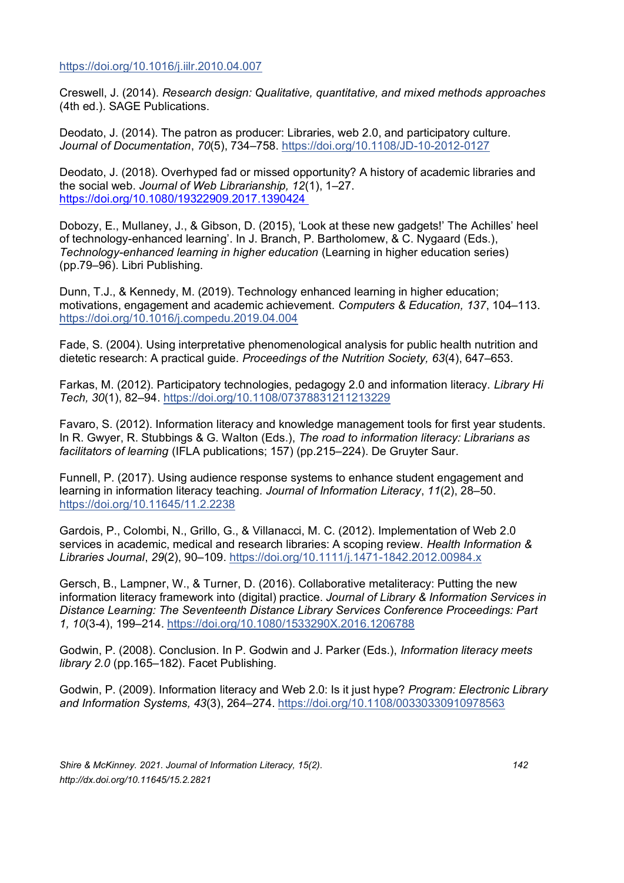<https://doi.org/10.1016/j.iilr.2010.04.007>

Creswell, J. (2014). *Research design: Qualitative, quantitative, and mixed methods approaches* (4th ed.). SAGE Publications.

Deodato, J. (2014). The patron as producer: Libraries, web 2.0, and participatory culture. *Journal of Documentation*, *70*(5), 734–758.<https://doi.org/10.1108/JD-10-2012-0127>

Deodato, J. (2018). Overhyped fad or missed opportunity? A history of academic libraries and the social web. *Journal of Web Librarianship, 12*(1), 1–27. [https://doi.org/10.1080/19322909.2017.1390424](https://doi.org/10.1080/19322909.2017.1390424 )

Dobozy, E., Mullaney, J., & Gibson, D. (2015), 'Look at these new gadgets!' The Achilles' heel of technology-enhanced learning'. In J. Branch, P. Bartholomew, & C. Nygaard (Eds.), *Technology-enhanced learning in higher education* (Learning in higher education series) (pp.79–96). Libri Publishing.

Dunn, T.J., & Kennedy, M. (2019). Technology enhanced learning in higher education; motivations, engagement and academic achievement. *Computers & Education, 137*, 104–113. <https://doi.org/10.1016/j.compedu.2019.04.004>

Fade, S. (2004). Using interpretative phenomenological analysis for public health nutrition and dietetic research: A practical guide. *Proceedings of the Nutrition Society, 63*(4), 647–653.

Farkas, M. (2012). Participatory technologies, pedagogy 2.0 and information literacy. *Library Hi Tech, 30*(1), 82–94.<https://doi.org/10.1108/07378831211213229>

Favaro, S. (2012). Information literacy and knowledge management tools for first year students. In R. Gwyer, R. Stubbings & G. Walton (Eds.), *The road to information literacy: Librarians as facilitators of learning* (IFLA publications; 157) (pp.215–224). De Gruyter Saur.

Funnell, P. (2017). Using audience response systems to enhance student engagement and learning in information literacy teaching. *Journal of Information Literacy*, *11*(2), 28–50. <https://doi.org/10.11645/11.2.2238>

Gardois, P., Colombi, N., Grillo, G., & Villanacci, M. C. (2012). Implementation of Web 2.0 services in academic, medical and research libraries: A scoping review. *Health Information & Libraries Journal*, *29*(2), 90–109[. https://doi.org/10.1111/j.1471-1842.2012.00984.x](https://doi.org/10.1111/j.1471-1842.2012.00984.x) 

Gersch, B., Lampner, W., & Turner, D. (2016). Collaborative metaliteracy: Putting the new information literacy framework into (digital) practice. *Journal of Library & Information Services in Distance Learning: The Seventeenth Distance Library Services Conference Proceedings: Part 1, 10*(3-4), 199–214. <https://doi.org/10.1080/1533290X.2016.1206788>

Godwin, P. (2008). Conclusion. In P. Godwin and J. Parker (Eds.), *Information literacy meets library 2.0* (pp.165–182). Facet Publishing.

Godwin, P. (2009). Information literacy and Web 2.0: Is it just hype? *Program: Electronic Library and Information Systems, 43*(3), 264–274.<https://doi.org/10.1108/00330330910978563>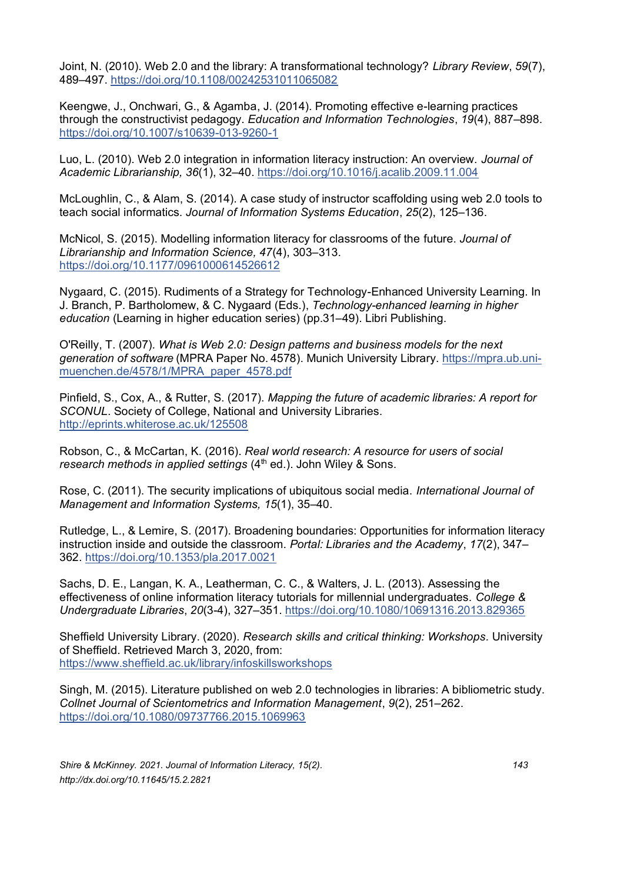Joint, N. (2010). Web 2.0 and the library: A transformational technology? *Library Review*, *59*(7), 489–497.<https://doi.org/10.1108/00242531011065082>

Keengwe, J., Onchwari, G., & Agamba, J. (2014). Promoting effective e-learning practices through the constructivist pedagogy. *Education and Information Technologies*, *19*(4), 887–898. <https://doi.org/10.1007/s10639-013-9260-1>

Luo, L. (2010). Web 2.0 integration in information literacy instruction: An overview. *Journal of Academic Librarianship, 36*(1), 32–40.<https://doi.org/10.1016/j.acalib.2009.11.004>

McLoughlin, C., & Alam, S. (2014). A case study of instructor scaffolding using web 2.0 tools to teach social informatics. *Journal of Information Systems Education*, *25*(2), 125–136.

McNicol, S. (2015). Modelling information literacy for classrooms of the future. *Journal of Librarianship and Information Science, 47*(4), 303–313. <https://doi.org/10.1177/0961000614526612>

Nygaard, C. (2015). Rudiments of a Strategy for Technology-Enhanced University Learning. In J. Branch, P. Bartholomew, & C. Nygaard (Eds.), *Technology-enhanced learning in higher education* (Learning in higher education series) (pp.31–49). Libri Publishing.

O'Reilly, T. (2007). *[What is Web 2.0: Design patterns and business models for the next](https://ideas.repec.org/p/pra/mprapa/4578.html)  [generation of software](https://ideas.repec.org/p/pra/mprapa/4578.html)* [\(MPRA Paper](https://ideas.repec.org/s/pra/mprapa.html) No. 4578). Munich University Library. [https://mpra.ub.uni](https://mpra.ub.uni-muenchen.de/4578/1/MPRA_paper_4578.pdf)[muenchen.de/4578/1/MPRA\\_paper\\_4578.pdf](https://mpra.ub.uni-muenchen.de/4578/1/MPRA_paper_4578.pdf)

Pinfield, S., Cox, A., & Rutter, S. (2017). *Mapping the future of academic libraries: A report for SCONUL*. Society of College, National and University Libraries. <http://eprints.whiterose.ac.uk/125508>

Robson, C., & McCartan, K. (2016). *Real world research: A resource for users of social research methods in applied settings* (4<sup>th</sup> ed.). John Wiley & Sons.

Rose, C. (2011). The security implications of ubiquitous social media. *International Journal of Management and Information Systems, 15*(1), 35–40.

Rutledge, L., & Lemire, S. (2017). Broadening boundaries: Opportunities for information literacy instruction inside and outside the classroom. *Portal: Libraries and the Academy*, *17*(2), 347– 362.<https://doi.org/10.1353/pla.2017.0021>

Sachs, D. E., Langan, K. A., Leatherman, C. C., & Walters, J. L. (2013). Assessing the effectiveness of online information literacy tutorials for millennial undergraduates. *College & Undergraduate Libraries*, *20*(3-4), 327–351.<https://doi.org/10.1080/10691316.2013.829365>

Sheffield University Library. (2020). *Research skills and critical thinking: Workshops.* University of Sheffield. Retrieved March 3, 2020, from: <https://www.sheffield.ac.uk/library/infoskillsworkshops>

Singh, M. (2015). Literature published on web 2.0 technologies in libraries: A bibliometric study. *Collnet Journal of Scientometrics and Information Management*, *9*(2), 251–262. <https://doi.org/10.1080/09737766.2015.1069963>

*Shire & McKinney. 2021. Journal of Information Literacy, 15(2). 143 http://dx.doi.org/10.11645/15.2.2821*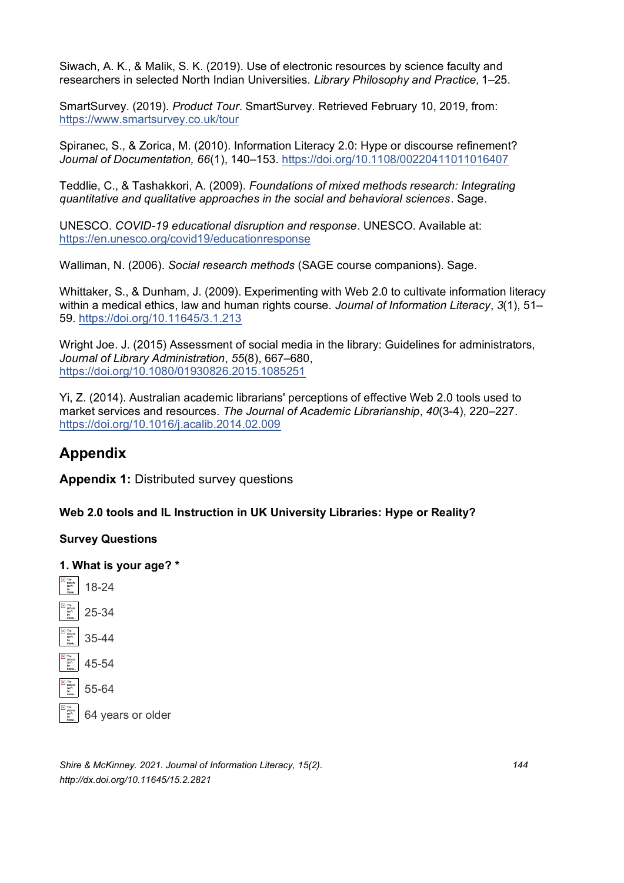Siwach, A. K., & Malik, S. K. (2019). Use of electronic resources by science faculty and researchers in selected North Indian Universities. *Library Philosophy and Practice,* 1–25.

SmartSurvey. (2019). *Product Tour*. SmartSurvey. Retrieved February 10, 2019, from: <https://www.smartsurvey.co.uk/tour>

Spiranec, S., & Zorica, M. (2010). Information Literacy 2.0: Hype or discourse refinement? *Journal of Documentation, 66*(1), 140–153.<https://doi.org/10.1108/00220411011016407>

Teddlie, C., & Tashakkori, A. (2009). *Foundations of mixed methods research: Integrating quantitative and qualitative approaches in the social and behavioral sciences*. Sage.

UNESCO. *COVID-19 educational disruption and response*. UNESCO. Available at: <https://en.unesco.org/covid19/educationresponse>

Walliman, N. (2006). *Social research methods* (SAGE course companions). Sage.

Whittaker, S., & Dunham, J. (2009). Experimenting with Web 2.0 to cultivate information literacy within a medical ethics, law and human rights course. *Journal of Information Literacy*, *3*(1), 51– 59.<https://doi.org/10.11645/3.1.213>

Wright Joe. J. (2015) Assessment of social media in the library: Guidelines for administrators, *Journal of Library Administration*, *55*(8), 667–680, <https://doi.org/10.1080/01930826.2015.1085251>

Yi, Z. (2014). Australian academic librarians' perceptions of effective Web 2.0 tools used to market services and resources. *The Journal of Academic Librarianship*, *40*(3-4), 220–227. <https://doi.org/10.1016/j.acalib.2014.02.009>

## **Appendix**

**Appendix 1:** Distributed survey questions

**Web 2.0 tools and IL Instruction in UK University Libraries: Hype or Reality?**

#### **Survey Questions**





*Shire & McKinney. 2021. Journal of Information Literacy, 15(2). 144 http://dx.doi.org/10.11645/15.2.2821*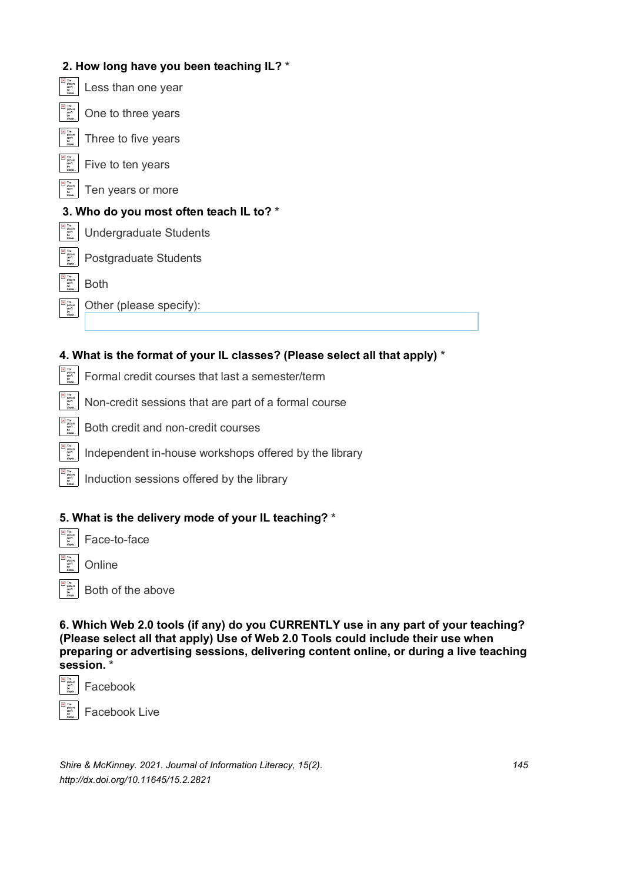## **2. How long have you been teaching IL? \***

| $\times$ The<br>picture<br>can't<br>be<br>displa.           | Less than one year                      |
|-------------------------------------------------------------|-----------------------------------------|
| $\times$ The<br>picture<br>can't<br>be<br>dionla            | One to three years                      |
| The<br>$\pmb{\times}$<br>picture<br>can't<br>be<br>displa.  | Three to five years                     |
| $\times$ The<br>picture<br>can't<br>be.<br>displa.          | Five to ten years                       |
| $x$ The<br>picture<br>can't<br>be<br>disnin                 | Ten years or more                       |
|                                                             | 3. Who do you most often teach IL to? * |
| x The<br>picture<br>can't<br>be<br>displa.                  | Undergraduate Students                  |
|                                                             |                                         |
| x The<br>picture<br>can't<br>be.<br>disnia                  | Postgraduate Students                   |
| $x$ The<br>picture<br>can't<br>be.<br>disnia                | <b>Both</b>                             |
| The<br>$\pmb{\times}$<br>picture<br>can't<br>be.<br>displa. | Other (please specify):                 |
|                                                             |                                         |

## **4. What is the format of your IL classes? (Please select all that apply) \***

- $\begin{array}{c} \hline \textbf{x} \\ \text{picture} \\ \text{point} \end{array}$ Formal credit courses that last a semester/term
	- Non-credit sessions that are part of a formal course
	- Both credit and non-credit courses
	- Independent in-house workshops offered by the library
- The<br>picture<br>can't<br>be Induction sessions offered by the library

#### **5. What is the delivery mode of your IL teaching? \***

Face-to-face

**Online** 

Both of the above

**6. Which Web 2.0 tools (if any) do you CURRENTLY use in any part of your teaching? (Please select all that apply) Use of Web 2.0 Tools could include their use when preparing or advertising sessions, delivering content online, or during a live teaching session. \***



Facebook

Facebook Live

*Shire & McKinney. 2021. Journal of Information Literacy, 15(2). 145 http://dx.doi.org/10.11645/15.2.2821*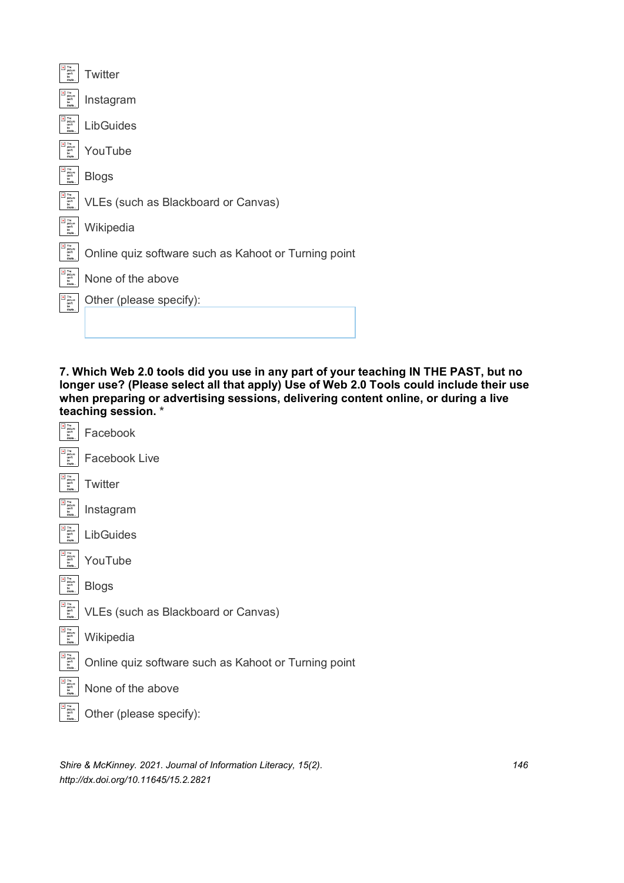| Online quiz software such as Kahoot or Turning point |
|------------------------------------------------------|
|                                                      |
|                                                      |
|                                                      |
|                                                      |

**7. Which Web 2.0 tools did you use in any part of your teaching IN THE PAST, but no longer use? (Please select all that apply) Use of Web 2.0 Tools could include their use when preparing or advertising sessions, delivering content online, or during a live teaching session. \***

| ×<br>The<br>picture<br>can't<br>be<br>displa                    | Facebook                                             |
|-----------------------------------------------------------------|------------------------------------------------------|
| ×<br>The<br>picture<br>can't<br>be.<br>disnin                   | Facebook Live                                        |
| $\pmb{\times}$<br>The<br>picture<br>can't<br>be<br>displa.      | Twitter                                              |
| ×<br>The<br>picture<br>can't<br>be<br>displa                    | Instagram                                            |
| $\pmb{\times}$<br>The<br>picture<br>can't<br>be<br>displa       | LibGuides                                            |
| $\pmb{\times}$<br>The<br>picture<br>can't<br>bė<br>displa.      | YouTube                                              |
| $\pmb{\times}$<br>The<br>picture<br>can't<br>be<br>displa.      | <b>Blogs</b>                                         |
| $\pmb{\times}$<br>The<br>picture<br>.<br>can't<br>be<br>displa. | VLEs (such as Blackboard or Canvas)                  |
| $\pmb{\times}$<br>The<br>picture<br>can't<br>be<br>displa       | Wikipedia                                            |
| $\pmb{\times}$<br>The<br>picture<br>can't<br>be<br>disnia       | Online quiz software such as Kahoot or Turning point |
| The<br>×<br>picture<br>can't<br>be<br>disnis                    | None of the above                                    |
| $\pmb{\times}$<br>The<br>picture<br>can't<br>be<br>displa       | Other (please specify):                              |
|                                                                 |                                                      |

*Shire & McKinney. 2021. Journal of Information Literacy, 15(2). 146 http://dx.doi.org/10.11645/15.2.2821*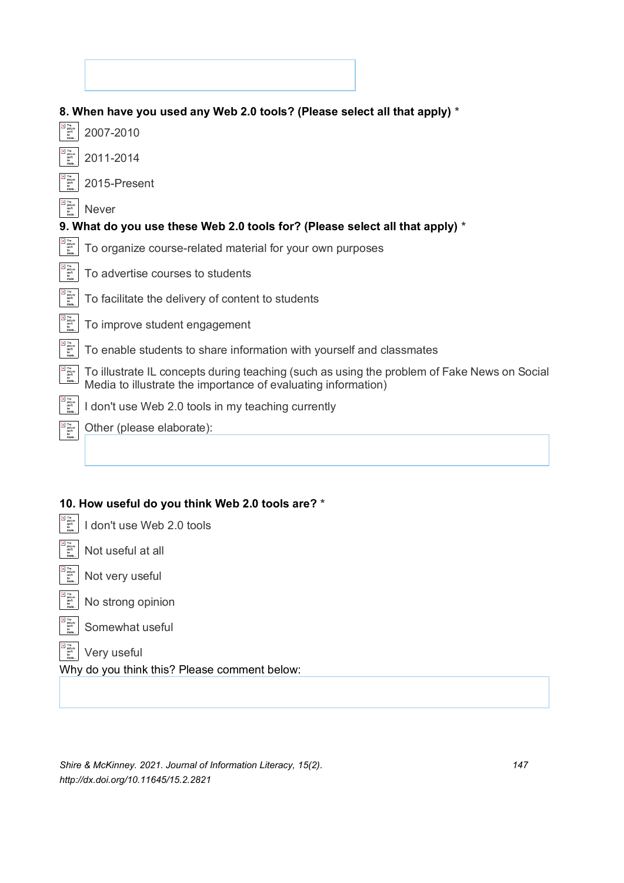|                                                                                                                                                                                                                                                                                                                                                                                                                                                                                             | 8. When have you used any Web 2.0 tools? (Please select all that apply) *                                                                                    |
|---------------------------------------------------------------------------------------------------------------------------------------------------------------------------------------------------------------------------------------------------------------------------------------------------------------------------------------------------------------------------------------------------------------------------------------------------------------------------------------------|--------------------------------------------------------------------------------------------------------------------------------------------------------------|
| $\begin{array}{c} \hline \mathbf{x} \\ \mathbf{p}) \\ \mathbf{q} \\ \mathbf{q} \\ \mathbf{q} \\ \mathbf{b} \\ \mathbf{d} \end{array}$                                                                                                                                                                                                                                                                                                                                                       | 2007-2010                                                                                                                                                    |
| $\begin{array}{c} \hbox{\bf x} \quad \mbox{The} \\ \hbox{picture} \\ \hbox{curl} \\ \hbox{be} \\ \hbox{d}sph. \end{array}$                                                                                                                                                                                                                                                                                                                                                                  | 2011-2014                                                                                                                                                    |
| $\begin{array}{c} \hbox{\bf x} \quad \mbox{The} \\ \hbox{picture} \\ \hbox{cm} \quad \mbox{right} \\ \hbox{be} \\ \hbox{d} \sinh. \end{array}$                                                                                                                                                                                                                                                                                                                                              | 2015-Present                                                                                                                                                 |
| $\begin{tabular}{ c c } \hline \hline \textbf{X} & \textbf{The} \\ \hline \textbf{p} & \textbf{p} & \textbf{other} \\ \textbf{can't} & \textbf{be} \\ \textbf{d} & \textbf{a} & \textbf{right} \end{tabular}$                                                                                                                                                                                                                                                                               | <b>Never</b>                                                                                                                                                 |
|                                                                                                                                                                                                                                                                                                                                                                                                                                                                                             | 9. What do you use these Web 2.0 tools for? (Please select all that apply) *                                                                                 |
| The<br>picture<br>can't<br>be<br>displa                                                                                                                                                                                                                                                                                                                                                                                                                                                     | To organize course-related material for your own purposes                                                                                                    |
| The<br>picture<br>can't<br>be<br>disple                                                                                                                                                                                                                                                                                                                                                                                                                                                     | To advertise courses to students                                                                                                                             |
| The<br>picture<br>can't<br>be<br>displa                                                                                                                                                                                                                                                                                                                                                                                                                                                     | To facilitate the delivery of content to students                                                                                                            |
| $\begin{array}{ll}\n\boxed{\textbf{x} & \text{The} \\ \text{picture} & \text{right.} \\ \boxed{\textbf{x} & \text{picture} \\ \boxed{\textbf{a} & \text{right}}\n\end{array}$                                                                                                                                                                                                                                                                                                               | To improve student engagement                                                                                                                                |
| $\begin{array}{l} \hline \textbf{M} \\ \text{picture} \\ \text{right} \\ \text{right} \\ \text{display} \\ \text{display} \end{array}$                                                                                                                                                                                                                                                                                                                                                      | To enable students to share information with yourself and classmates                                                                                         |
| $\begin{tabular}{ c c } \hline \textbf{X} & \textbf{The} \\ \hline \textbf{picture} \\ \textbf{in} \\ \textbf{out} \\ \textbf{in} \\ \textbf{in} \\ \textbf{in} \\ \textbf{in} \\ \textbf{in} \\ \textbf{in} \\ \textbf{in} \\ \textbf{in} \\ \textbf{in} \\ \textbf{in} \\ \textbf{in} \\ \textbf{in} \\ \textbf{in} \\ \textbf{in} \\ \textbf{in} \\ \textbf{in} \\ \textbf{in} \\ \textbf{in} \\ \textbf{in} \\ \textbf{in} \\ \textbf{in} \\ \textbf{in} \\ \textbf{in} \\ \textbf{in}$ | To illustrate IL concepts during teaching (such as using the problem of Fake News on Social<br>Media to illustrate the importance of evaluating information) |
| $\begin{tabular}{ c c } \hline \textbf{x} & \textbf{The} \\ \hline \textbf{picture} & \textbf{other} \\ \textbf{right} & \textbf{be} \\ \textbf{be} & \textbf{disph.} \\ \hline \end{tabular}$                                                                                                                                                                                                                                                                                              | I don't use Web 2.0 tools in my teaching currently                                                                                                           |
| $\begin{tabular}{ c c } \hline \hline \textbf{X} & \textbf{The} \\ \hline \textbf{picture} \\ \textbf{right} \\ \hline \textbf{right} \\ \hline \textbf{be} \\ \textbf{display} . \hline \end{tabular}$                                                                                                                                                                                                                                                                                     | Other (please elaborate):                                                                                                                                    |
|                                                                                                                                                                                                                                                                                                                                                                                                                                                                                             |                                                                                                                                                              |

## **10. How useful do you think Web 2.0 tools are? \***

|  | $\left \frac{m_{\text{max}}}{2m_{\text{max}}}\right $ I don't use Web 2.0 tools |  |
|--|---------------------------------------------------------------------------------|--|
|  |                                                                                 |  |

- $\begin{array}{|l|}\hline \mathbb{F}_{\text{outer}}^{\text{inter}}\\ \hline \mathbb{F}_{\text{other}}^{\text{inter}}\\ \hline \end{array}$  Not useful at all
- $\begin{array}{c} \overline{\left[\mathbb{E}\right]^{n\circ}_{\text{gen.}}}}\\ \overline{\left[\mathbb{E}\right]^{n\circ}_{\text{gen.}}}\end{array} \text{Not very useful}$

 $\begin{array}{|l|}\hline \text{N}^{\text{The number}}\\ \text{N}^{\text{B}}_{\text{B}}\text{C}^{\text{B}}\text{C}^{\text{B}}\end{array} \bigg|{\color{red}}$  No strong opinion

 $\begin{array}{c} \boxed{\textbf{x}} \\ \text{picture} \\ \text{right} \\ \text{be} \\ \text{display} \end{array}$ Somewhat useful

Very useful

Why do you think this? Please comment below:

*Shire & McKinney. 2021. Journal of Information Literacy, 15(2). 147 http://dx.doi.org/10.11645/15.2.2821*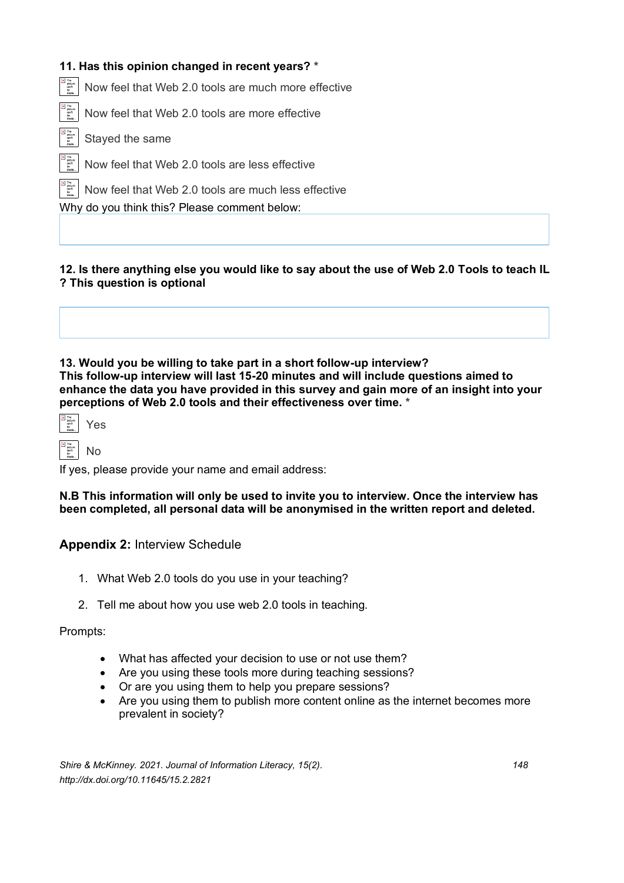### **11. Has this opinion changed in recent years? \***

The<br>
picture<br>
can't<br>
be Now feel that Web 2.0 tools are much more effective

Now feel that Web 2.0 tools are more effective

Stayed the same

Now feel that Web 2.0 tools are less effective

Now feel that Web 2.0 tools are much less effective

Why do you think this? Please comment below:

**12. Is there anything else you would like to say about the use of Web 2.0 Tools to teach IL ? This question is optional** 

**13. Would you be willing to take part in a short follow-up interview? This follow-up interview will last 15-20 minutes and will include questions aimed to enhance the data you have provided in this survey and gain more of an insight into your perceptions of Web 2.0 tools and their effectiveness over time. \***

## No

If yes, please provide your name and email address:

**N.B This information will only be used to invite you to interview. Once the interview has been completed, all personal data will be anonymised in the written report and deleted.** 

#### **Appendix 2:** Interview Schedule

- 1. What Web 2.0 tools do you use in your teaching?
- 2. Tell me about how you use web 2.0 tools in teaching.

#### Prompts:

- What has affected your decision to use or not use them?
- Are you using these tools more during teaching sessions?
- Or are you using them to help you prepare sessions?
- Are you using them to publish more content online as the internet becomes more prevalent in society?